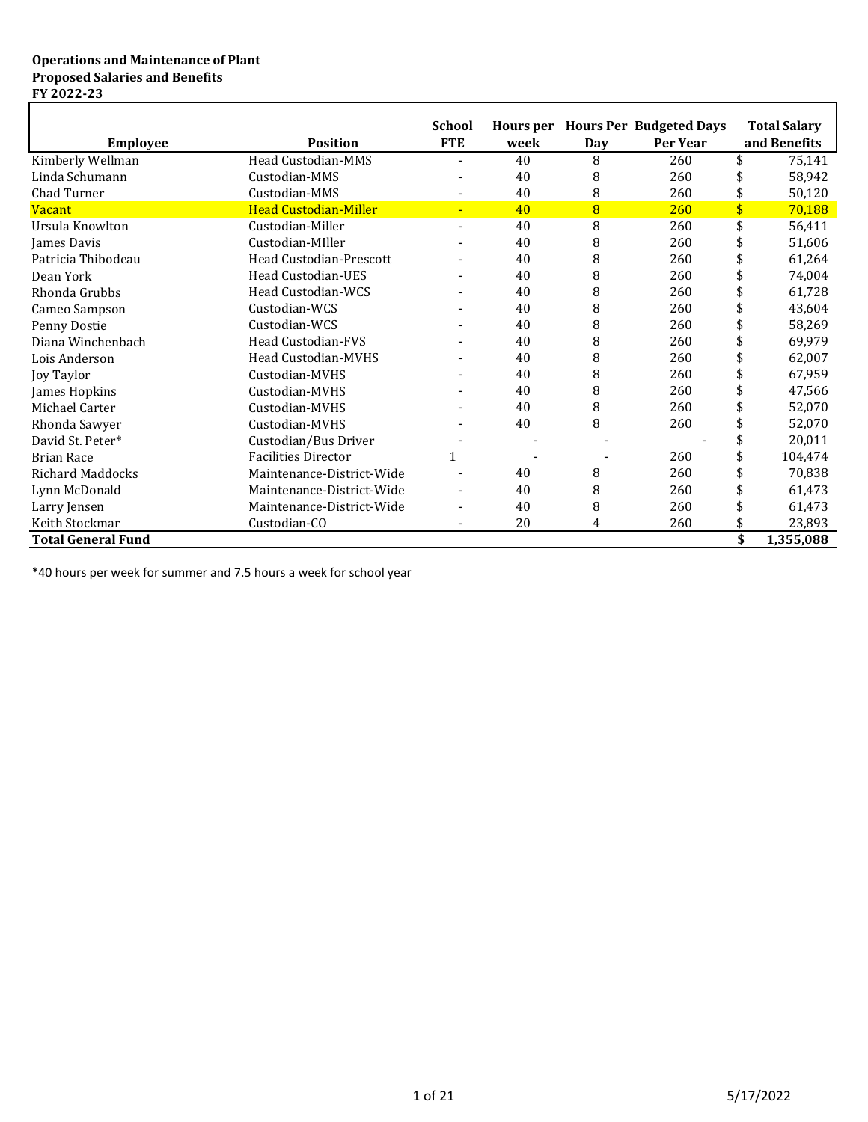### **Operations and Maintenance of Plant Proposed Salaries and Benefits FY 2022-23**

| <b>Employee</b>           | <b>Position</b>                | <b>School</b><br><b>FTE</b> | Hours per<br>week | Day | <b>Hours Per Budgeted Days</b><br>Per Year | <b>Total Salary</b><br>and Benefits |
|---------------------------|--------------------------------|-----------------------------|-------------------|-----|--------------------------------------------|-------------------------------------|
| Kimberly Wellman          | Head Custodian-MMS             |                             | 40                | 8   | 260                                        | \$<br>75,141                        |
| Linda Schumann            | Custodian-MMS                  |                             | 40                | 8   | 260                                        | 58,942                              |
| Chad Turner               | Custodian-MMS                  |                             | 40                | 8   | 260                                        | \$<br>50,120                        |
| <b>Vacant</b>             | <b>Head Custodian-Miller</b>   |                             | 40                | 8   | 260                                        | \$<br>70,188                        |
| Ursula Knowlton           | Custodian-Miller               |                             | 40                | 8   | 260                                        | \$<br>56,411                        |
| <b>James Davis</b>        | Custodian-MIller               |                             | 40                | 8   | 260                                        | 51,606                              |
| Patricia Thibodeau        | <b>Head Custodian-Prescott</b> |                             | 40                | 8   | 260                                        | 61,264                              |
| Dean York                 | <b>Head Custodian-UES</b>      |                             | 40                | 8   | 260                                        | 74,004                              |
| Rhonda Grubbs             | <b>Head Custodian-WCS</b>      |                             | 40                | 8   | 260                                        | 61,728                              |
| Cameo Sampson             | Custodian-WCS                  |                             | 40                | 8   | 260                                        | 43,604                              |
| Penny Dostie              | Custodian-WCS                  |                             | 40                | 8   | 260                                        | 58,269                              |
| Diana Winchenbach         | <b>Head Custodian-FVS</b>      |                             | 40                | 8   | 260                                        | 69,979                              |
| Lois Anderson             | <b>Head Custodian-MVHS</b>     |                             | 40                | 8   | 260                                        | 62,007                              |
| Joy Taylor                | Custodian-MVHS                 |                             | 40                | 8   | 260                                        | 67,959                              |
| James Hopkins             | Custodian-MVHS                 |                             | 40                | 8   | 260                                        | 47,566                              |
| Michael Carter            | Custodian-MVHS                 |                             | 40                | 8   | 260                                        | 52,070                              |
| Rhonda Sawyer             | Custodian-MVHS                 |                             | 40                | 8   | 260                                        | 52,070                              |
| David St. Peter*          | Custodian/Bus Driver           |                             |                   |     |                                            | 20,011                              |
| <b>Brian Race</b>         | <b>Facilities Director</b>     |                             |                   |     | 260                                        | 104,474                             |
| <b>Richard Maddocks</b>   | Maintenance-District-Wide      |                             | 40                | 8   | 260                                        | 70,838                              |
| Lynn McDonald             | Maintenance-District-Wide      |                             | 40                | 8   | 260                                        | 61,473                              |
| Larry Jensen              | Maintenance-District-Wide      |                             | 40                | 8   | 260                                        | 61,473                              |
| Keith Stockmar            | Custodian-CO                   |                             | 20                | 4   | 260                                        | 23,893                              |
| <b>Total General Fund</b> |                                |                             |                   |     |                                            | \$<br>1,355,088                     |

\*40 hours per week for summer and 7.5 hours a week for school year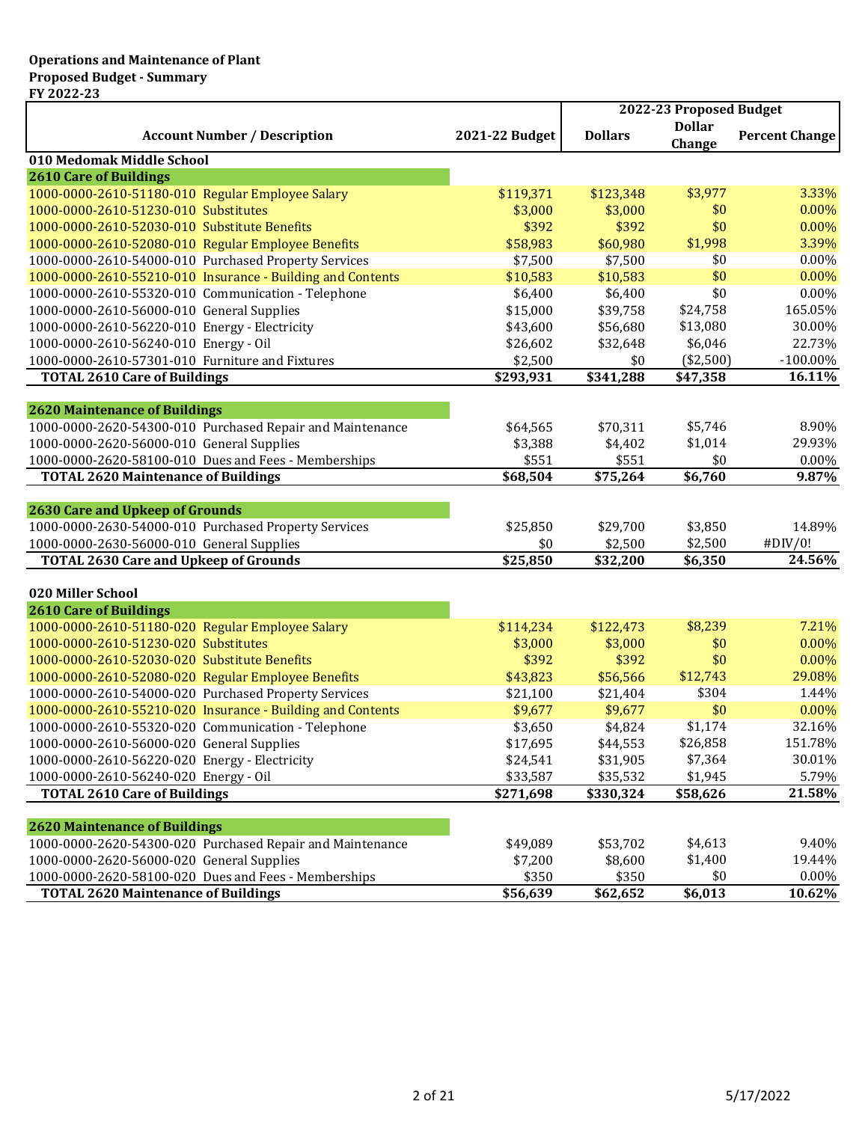|                                                            |                | 2022-23 Proposed Budget |                         |                       |
|------------------------------------------------------------|----------------|-------------------------|-------------------------|-----------------------|
| <b>Account Number / Description</b>                        | 2021-22 Budget | <b>Dollars</b>          | <b>Dollar</b><br>Change | <b>Percent Change</b> |
| 010 Medomak Middle School                                  |                |                         |                         |                       |
| <b>2610 Care of Buildings</b>                              |                |                         |                         |                       |
| 1000-0000-2610-51180-010 Regular Employee Salary           | \$119,371      | \$123,348               | \$3,977                 | 3.33%                 |
| 1000-0000-2610-51230-010 Substitutes                       | \$3,000        | \$3,000                 | \$0                     | 0.00%                 |
| 1000-0000-2610-52030-010 Substitute Benefits               | \$392          | \$392                   | \$0                     | 0.00%                 |
| 1000-0000-2610-52080-010 Regular Employee Benefits         | \$58,983       | \$60,980                | \$1,998                 | 3.39%                 |
| 1000-0000-2610-54000-010 Purchased Property Services       | \$7,500        | \$7,500                 | \$0                     | $0.00\%$              |
| 1000-0000-2610-55210-010 Insurance - Building and Contents | \$10,583       | \$10,583                | \$0                     | 0.00%                 |
| 1000-0000-2610-55320-010 Communication - Telephone         | \$6,400        | \$6,400                 | \$0                     | 0.00%                 |
| 1000-0000-2610-56000-010 General Supplies                  | \$15,000       | \$39,758                | \$24,758                | 165.05%               |
| 1000-0000-2610-56220-010 Energy - Electricity              | \$43,600       | \$56,680                | \$13,080                | 30.00%                |
| 1000-0000-2610-56240-010 Energy - Oil                      | \$26,602       | \$32,648                | \$6,046                 | 22.73%                |
| 1000-0000-2610-57301-010 Furniture and Fixtures            | \$2,500        | \$0                     | (\$2,500)               | $-100.00\%$           |
| <b>TOTAL 2610 Care of Buildings</b>                        | \$293,931      | \$341,288               | \$47,358                | 16.11%                |
|                                                            |                |                         |                         |                       |
| <b>2620 Maintenance of Buildings</b>                       |                |                         |                         |                       |
| 1000-0000-2620-54300-010 Purchased Repair and Maintenance  | \$64,565       | \$70,311                | \$5,746                 | 8.90%                 |
| 1000-0000-2620-56000-010 General Supplies                  | \$3,388        | \$4,402                 | \$1,014                 | 29.93%                |
| 1000-0000-2620-58100-010 Dues and Fees - Memberships       | \$551          | \$551                   | \$0                     | 0.00%                 |
| <b>TOTAL 2620 Maintenance of Buildings</b>                 | \$68,504       | \$75,264                | \$6,760                 | 9.87%                 |
| <b>2630 Care and Upkeep of Grounds</b>                     |                |                         |                         |                       |
| 1000-0000-2630-54000-010 Purchased Property Services       | \$25,850       | \$29,700                | \$3,850                 | 14.89%                |
| 1000-0000-2630-56000-010 General Supplies                  | \$0            | \$2,500                 | \$2,500                 | #DIV/0!               |
| <b>TOTAL 2630 Care and Upkeep of Grounds</b>               | \$25,850       | \$32,200                | \$6,350                 | 24.56%                |
|                                                            |                |                         |                         |                       |
| 020 Miller School                                          |                |                         |                         |                       |
| <b>2610 Care of Buildings</b>                              |                |                         |                         |                       |
| 1000-0000-2610-51180-020 Regular Employee Salary           | \$114,234      | \$122,473               | \$8,239                 | 7.21%                 |
| 1000-0000-2610-51230-020 Substitutes                       | \$3,000        | \$3,000                 | \$0                     | 0.00%                 |
| 1000-0000-2610-52030-020 Substitute Benefits               | \$392          | \$392                   | \$0                     | 0.00%                 |
| 1000-0000-2610-52080-020 Regular Employee Benefits         | \$43,823       | \$56,566                | \$12,743                | 29.08%                |
| 1000-0000-2610-54000-020 Purchased Property Services       | \$21,100       | \$21,404                | \$304                   | 1.44%                 |
| 1000-0000-2610-55210-020 Insurance - Building and Contents | \$9,677        | \$9,677                 | \$0                     | 0.00%                 |
| 1000-0000-2610-55320-020 Communication - Telephone         | \$3,650        | \$4,824                 | \$1,174                 | 32.16%                |
| 1000-0000-2610-56000-020 General Supplies                  | \$17,695       | \$44,553                | \$26,858                | 151.78%               |
| 1000-0000-2610-56220-020 Energy - Electricity              | \$24,541       | \$31,905                | \$7,364                 | 30.01%                |
| 1000-0000-2610-56240-020 Energy - Oil                      | \$33,587       | \$35,532                | \$1,945                 | 5.79%                 |
| <b>TOTAL 2610 Care of Buildings</b>                        | \$271,698      | \$330,324               | \$58,626                | 21.58%                |
|                                                            |                |                         |                         |                       |
| <b>2620 Maintenance of Buildings</b>                       |                |                         |                         |                       |
| 1000-0000-2620-54300-020 Purchased Repair and Maintenance  | \$49,089       | \$53,702                | \$4,613                 | 9.40%                 |
| 1000-0000-2620-56000-020 General Supplies                  | \$7,200        | \$8,600                 | \$1,400                 | 19.44%                |
| 1000-0000-2620-58100-020 Dues and Fees - Memberships       | \$350          | \$350                   | \$0                     | $0.00\%$              |
| <b>TOTAL 2620 Maintenance of Buildings</b>                 | \$56,639       | \$62,652                | \$6,013                 | 10.62%                |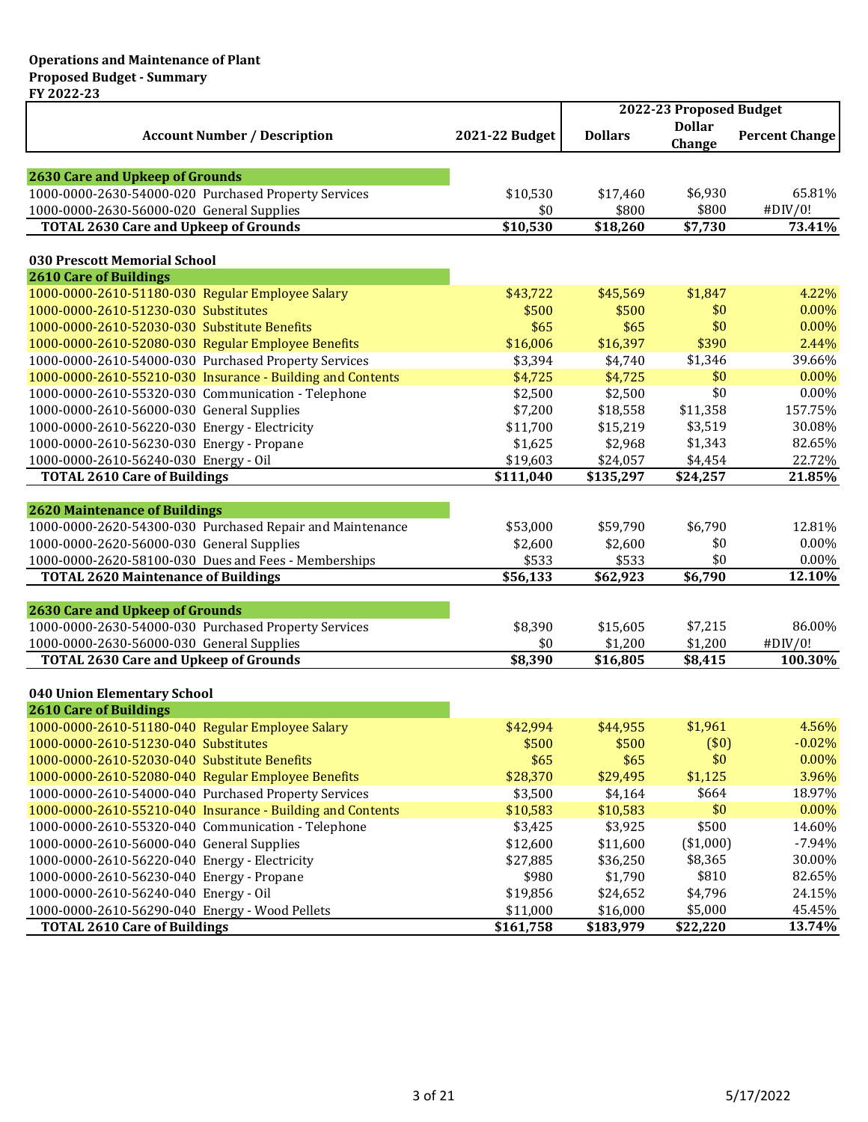|                                                                                                                  |                | 2022-23 Proposed Budget |                         |                       |
|------------------------------------------------------------------------------------------------------------------|----------------|-------------------------|-------------------------|-----------------------|
| <b>Account Number / Description</b>                                                                              | 2021-22 Budget | <b>Dollars</b>          | <b>Dollar</b><br>Change | <b>Percent Change</b> |
| <b>2630 Care and Upkeep of Grounds</b>                                                                           |                |                         |                         |                       |
| 1000-0000-2630-54000-020 Purchased Property Services                                                             | \$10,530       | \$17,460                | \$6,930                 | 65.81%                |
| 1000-0000-2630-56000-020 General Supplies                                                                        | \$0            | \$800                   | \$800                   | #DIV/0!               |
| <b>TOTAL 2630 Care and Upkeep of Grounds</b>                                                                     | \$10,530       | \$18,260                | \$7,730                 | 73.41%                |
|                                                                                                                  |                |                         |                         |                       |
| 030 Prescott Memorial School<br><b>2610 Care of Buildings</b>                                                    |                |                         |                         |                       |
| 1000-0000-2610-51180-030 Regular Employee Salary                                                                 | \$43,722       | \$45,569                | \$1,847                 | 4.22%                 |
| 1000-0000-2610-51230-030 Substitutes                                                                             | \$500          | \$500                   | \$0                     | $0.00\%$              |
| 1000-0000-2610-52030-030 Substitute Benefits                                                                     | \$65           | \$65                    | \$0                     | 0.00%                 |
| 1000-0000-2610-52080-030 Regular Employee Benefits                                                               | \$16,006       | \$16,397                | \$390                   | 2.44%                 |
| 1000-0000-2610-54000-030 Purchased Property Services                                                             | \$3,394        | \$4,740                 | \$1,346                 | 39.66%                |
| 1000-0000-2610-55210-030 Insurance - Building and Contents                                                       | \$4,725        | \$4,725                 | \$0                     | 0.00%                 |
| 1000-0000-2610-55320-030 Communication - Telephone                                                               | \$2,500        | \$2,500                 | \$0                     | 0.00%                 |
| 1000-0000-2610-56000-030 General Supplies                                                                        | \$7,200        | \$18,558                | \$11,358                | 157.75%               |
| 1000-0000-2610-56220-030 Energy - Electricity                                                                    | \$11,700       | \$15,219                | \$3,519                 | 30.08%                |
|                                                                                                                  | \$1,625        | \$2,968                 | \$1,343                 | 82.65%                |
| 1000-0000-2610-56230-030 Energy - Propane                                                                        |                |                         |                         | 22.72%                |
| 1000-0000-2610-56240-030 Energy - Oil                                                                            | \$19,603       | \$24,057                | \$4,454                 | 21.85%                |
| <b>TOTAL 2610 Care of Buildings</b>                                                                              | \$111,040      | \$135,297               | \$24,257                |                       |
| <b>2620 Maintenance of Buildings</b>                                                                             |                |                         |                         |                       |
| 1000-0000-2620-54300-030 Purchased Repair and Maintenance                                                        | \$53,000       | \$59,790                | \$6,790                 | 12.81%                |
| 1000-0000-2620-56000-030 General Supplies                                                                        | \$2,600        | \$2,600                 | \$0                     | 0.00%                 |
| 1000-0000-2620-58100-030 Dues and Fees - Memberships                                                             | \$533          | \$533                   | \$0                     | 0.00%                 |
| <b>TOTAL 2620 Maintenance of Buildings</b>                                                                       | \$56,133       | \$62,923                | \$6,790                 | 12.10%                |
|                                                                                                                  |                |                         |                         |                       |
| <b>2630 Care and Upkeep of Grounds</b>                                                                           |                |                         |                         |                       |
| 1000-0000-2630-54000-030 Purchased Property Services                                                             | \$8,390        | \$15,605                | \$7,215                 | 86.00%                |
| 1000-0000-2630-56000-030 General Supplies                                                                        | \$0            | \$1,200                 | \$1,200                 | #DIV/0!               |
| <b>TOTAL 2630 Care and Upkeep of Grounds</b>                                                                     | \$8,390        | \$16,805                | \$8,415                 | 100.30%               |
|                                                                                                                  |                |                         |                         |                       |
| 040 Union Elementary School<br><b>2610 Care of Buildings</b>                                                     |                |                         |                         |                       |
| 1000-0000-2610-51180-040 Regular Employee Salary                                                                 | \$42,994       | \$44,955                | \$1,961                 | 4.56%                 |
|                                                                                                                  |                |                         |                         |                       |
| 1000-0000-2610-51230-040 Substitutes<br>1000-0000-2610-52030-040 Substitute Benefits                             | \$500<br>\$65  | \$500<br>\$65           | (50)<br>\$0             | $-0.02\%$<br>0.00%    |
| 1000-0000-2610-52080-040 Regular Employee Benefits                                                               | \$28,370       | \$29,495                | \$1,125                 | 3.96%                 |
|                                                                                                                  |                |                         | \$664                   | 18.97%                |
| 1000-0000-2610-54000-040 Purchased Property Services                                                             | \$3,500        | \$4,164                 | \$0                     | 0.00%                 |
| 1000-0000-2610-55210-040 Insurance - Building and Contents<br>1000-0000-2610-55320-040 Communication - Telephone | \$10,583       | \$10,583                | \$500                   | 14.60%                |
| 1000-0000-2610-56000-040 General Supplies                                                                        | \$3,425        | \$3,925                 |                         |                       |
|                                                                                                                  | \$12,600       | \$11,600                | (\$1,000)               | $-7.94%$              |
| 1000-0000-2610-56220-040 Energy - Electricity                                                                    | \$27,885       | \$36,250                | \$8,365                 | 30.00%                |
| 1000-0000-2610-56230-040 Energy - Propane                                                                        | \$980          | \$1,790                 | \$810                   | 82.65%                |
| 1000-0000-2610-56240-040 Energy - Oil                                                                            | \$19,856       | \$24,652                | \$4,796                 | 24.15%                |
| 1000-0000-2610-56290-040 Energy - Wood Pellets                                                                   | \$11,000       | \$16,000                | \$5,000                 | 45.45%                |
| <b>TOTAL 2610 Care of Buildings</b>                                                                              | \$161,758      | \$183,979               | \$22,220                | 13.74%                |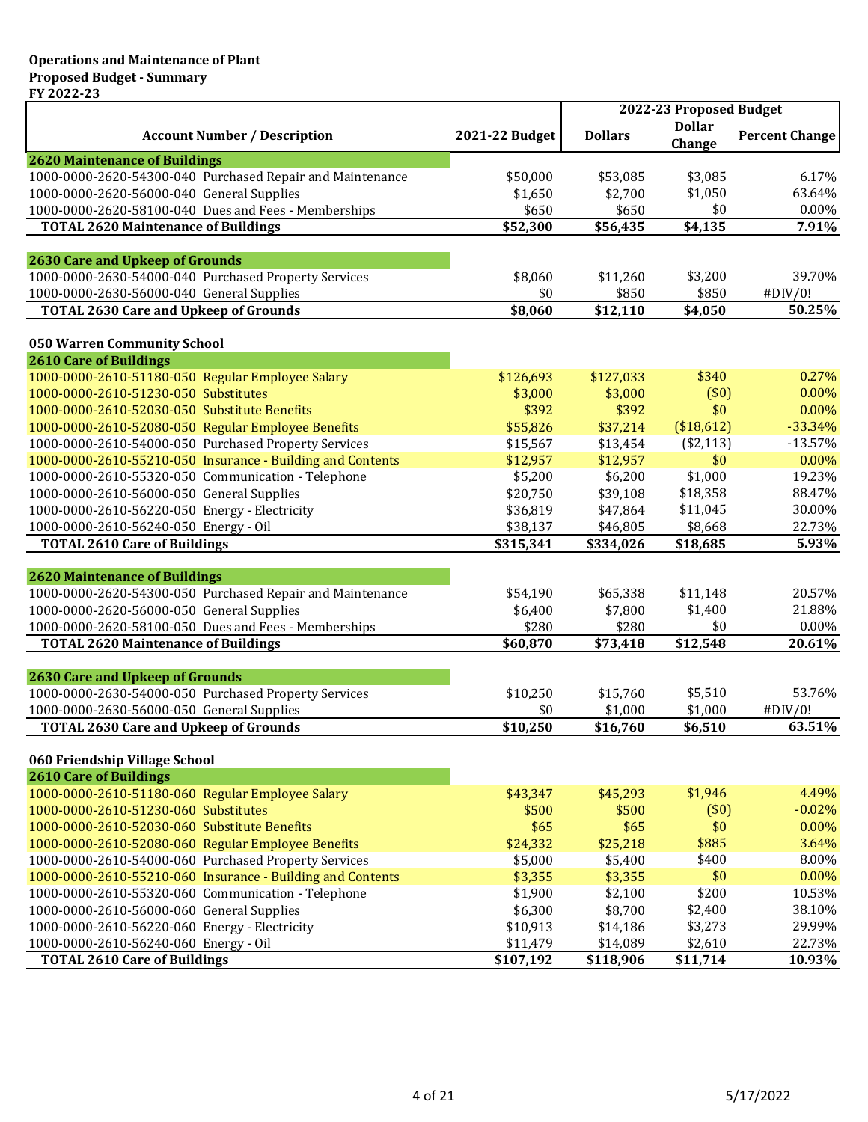|                                                            |                | 2022-23 Proposed Budget |                         |                       |
|------------------------------------------------------------|----------------|-------------------------|-------------------------|-----------------------|
| <b>Account Number / Description</b>                        | 2021-22 Budget | <b>Dollars</b>          | <b>Dollar</b><br>Change | <b>Percent Change</b> |
| <b>2620 Maintenance of Buildings</b>                       |                |                         |                         |                       |
| 1000-0000-2620-54300-040 Purchased Repair and Maintenance  | \$50,000       | \$53,085                | \$3,085                 | 6.17%                 |
| 1000-0000-2620-56000-040 General Supplies                  | \$1,650        | \$2,700                 | \$1,050                 | 63.64%                |
| 1000-0000-2620-58100-040 Dues and Fees - Memberships       | \$650          | \$650                   | \$0                     | 0.00%                 |
| <b>TOTAL 2620 Maintenance of Buildings</b>                 | \$52,300       | \$56,435                | \$4,135                 | 7.91%                 |
| <b>2630 Care and Upkeep of Grounds</b>                     |                |                         |                         |                       |
| 1000-0000-2630-54000-040 Purchased Property Services       | \$8,060        | \$11,260                | \$3,200                 | 39.70%                |
| 1000-0000-2630-56000-040 General Supplies                  | \$0            | \$850                   | \$850                   | #DIV/0!               |
| <b>TOTAL 2630 Care and Upkeep of Grounds</b>               | \$8,060        | \$12,110                | \$4,050                 | 50.25%                |
| 050 Warren Community School                                |                |                         |                         |                       |
| <b>2610 Care of Buildings</b>                              |                |                         |                         |                       |
| 1000-0000-2610-51180-050 Regular Employee Salary           | \$126,693      | \$127,033               | \$340                   | 0.27%                 |
| 1000-0000-2610-51230-050 Substitutes                       | \$3,000        | \$3,000                 | (50)                    | 0.00%                 |
| 1000-0000-2610-52030-050 Substitute Benefits               | \$392          | \$392                   | \$0                     | 0.00%                 |
| 1000-0000-2610-52080-050 Regular Employee Benefits         | \$55,826       | \$37,214                | (\$18,612)              | $-33.34%$             |
| 1000-0000-2610-54000-050 Purchased Property Services       | \$15,567       | \$13,454                | (\$2,113)               | $-13.57%$             |
| 1000-0000-2610-55210-050 Insurance - Building and Contents | \$12,957       | \$12,957                | \$0                     | 0.00%                 |
| 1000-0000-2610-55320-050 Communication - Telephone         | \$5,200        | \$6,200                 | \$1,000                 | 19.23%                |
| 1000-0000-2610-56000-050 General Supplies                  | \$20,750       | \$39,108                | \$18,358                | 88.47%                |
| 1000-0000-2610-56220-050 Energy - Electricity              | \$36,819       | \$47,864                | \$11,045                | 30.00%                |
| 1000-0000-2610-56240-050 Energy - Oil                      | \$38,137       | \$46,805                | \$8,668                 | 22.73%                |
| <b>TOTAL 2610 Care of Buildings</b>                        | \$315,341      | \$334,026               | \$18,685                | 5.93%                 |
|                                                            |                |                         |                         |                       |
| <b>2620 Maintenance of Buildings</b>                       |                |                         |                         |                       |
| 1000-0000-2620-54300-050 Purchased Repair and Maintenance  | \$54,190       | \$65,338                | \$11,148                | 20.57%                |
| 1000-0000-2620-56000-050 General Supplies                  | \$6,400        | \$7,800                 | \$1,400                 | 21.88%                |
| 1000-0000-2620-58100-050 Dues and Fees - Memberships       | \$280          | \$280                   | \$0                     | 0.00%                 |
| <b>TOTAL 2620 Maintenance of Buildings</b>                 | \$60,870       | \$73,418                | \$12,548                | 20.61%                |
| <b>2630 Care and Upkeep of Grounds</b>                     |                |                         |                         |                       |
| 1000-0000-2630-54000-050 Purchased Property Services       | \$10,250       | \$15,760                | \$5,510                 | 53.76%                |
| 1000-0000-2630-56000-050 General Supplies                  | \$0            | \$1,000                 | \$1,000                 | #DIV/0!               |
| <b>TOTAL 2630 Care and Upkeep of Grounds</b>               | \$10,250       | \$16,760                | \$6,510                 | 63.51%                |
|                                                            |                |                         |                         |                       |
| 060 Friendship Village School                              |                |                         |                         |                       |
| <b>2610 Care of Buildings</b>                              |                |                         |                         |                       |
| 1000-0000-2610-51180-060 Regular Employee Salary           | \$43,347       | \$45,293                | \$1,946                 | 4.49%                 |
| 1000-0000-2610-51230-060 Substitutes                       | \$500          | \$500                   | (\$0)                   | $-0.02%$              |
| 1000-0000-2610-52030-060 Substitute Benefits               | \$65           | \$65                    | \$0                     | 0.00%                 |
| 1000-0000-2610-52080-060 Regular Employee Benefits         | \$24,332       | \$25,218                | \$885                   | 3.64%                 |
| 1000-0000-2610-54000-060 Purchased Property Services       | \$5,000        | \$5,400                 | \$400                   | 8.00%                 |
| 1000-0000-2610-55210-060 Insurance - Building and Contents | \$3,355        | \$3,355                 | \$0                     | 0.00%                 |
| 1000-0000-2610-55320-060 Communication - Telephone         | \$1,900        | \$2,100                 | \$200                   | 10.53%                |
| 1000-0000-2610-56000-060 General Supplies                  | \$6,300        | \$8,700                 | \$2,400                 | 38.10%                |
| 1000-0000-2610-56220-060 Energy - Electricity              | \$10,913       | \$14,186                | \$3,273                 | 29.99%                |
| 1000-0000-2610-56240-060 Energy - Oil                      | \$11,479       | \$14,089                | \$2,610                 | 22.73%                |
| <b>TOTAL 2610 Care of Buildings</b>                        | \$107,192      | \$118,906               | \$11,714                | 10.93%                |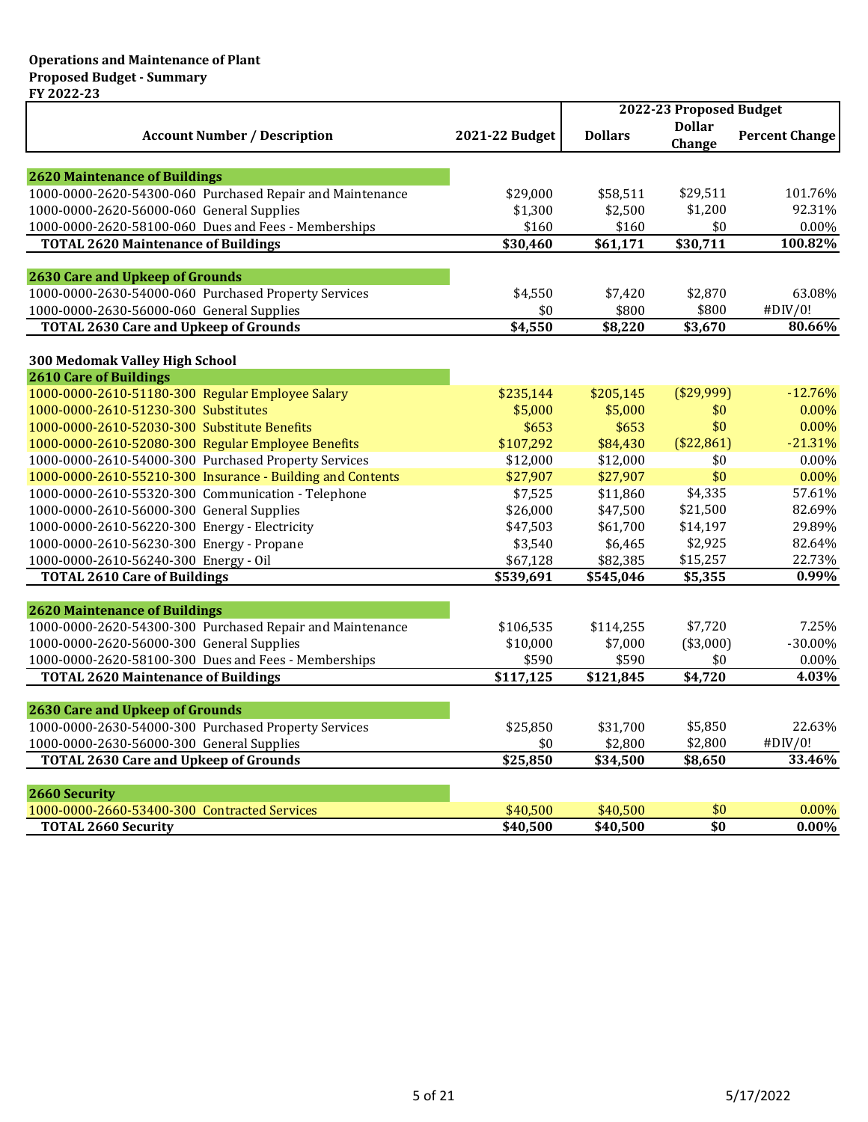|                                                            |                | 2022-23 Proposed Budget |                         |                       |
|------------------------------------------------------------|----------------|-------------------------|-------------------------|-----------------------|
| <b>Account Number / Description</b>                        | 2021-22 Budget | <b>Dollars</b>          | <b>Dollar</b><br>Change | <b>Percent Change</b> |
|                                                            |                |                         |                         |                       |
| <b>2620 Maintenance of Buildings</b>                       |                |                         |                         |                       |
| 1000-0000-2620-54300-060 Purchased Repair and Maintenance  | \$29,000       | \$58,511                | \$29,511                | 101.76%               |
| 1000-0000-2620-56000-060 General Supplies                  | \$1,300        | \$2,500                 | \$1,200                 | 92.31%                |
| 1000-0000-2620-58100-060 Dues and Fees - Memberships       | \$160          | \$160                   | \$0                     | 0.00%                 |
| <b>TOTAL 2620 Maintenance of Buildings</b>                 | \$30,460       | \$61,171                | \$30,711                | 100.82%               |
| <b>2630 Care and Upkeep of Grounds</b>                     |                |                         |                         |                       |
| 1000-0000-2630-54000-060 Purchased Property Services       | \$4,550        | \$7,420                 | \$2,870                 | 63.08%                |
| 1000-0000-2630-56000-060 General Supplies                  | \$0            | \$800                   | \$800                   | #DIV/0!               |
| <b>TOTAL 2630 Care and Upkeep of Grounds</b>               | \$4,550        | \$8,220                 | \$3,670                 | 80.66%                |
|                                                            |                |                         |                         |                       |
| 300 Medomak Valley High School                             |                |                         |                         |                       |
| <b>2610 Care of Buildings</b>                              |                |                         |                         |                       |
| 1000-0000-2610-51180-300 Regular Employee Salary           | \$235,144      | \$205,145               | (\$29,999)              | $-12.76%$             |
| 1000-0000-2610-51230-300 Substitutes                       | \$5,000        | \$5,000                 | \$0                     | 0.00%                 |
| 1000-0000-2610-52030-300 Substitute Benefits               | \$653          | \$653                   | \$0                     | 0.00%                 |
| 1000-0000-2610-52080-300 Regular Employee Benefits         | \$107,292      | \$84,430                | (\$22,861)              | $-21.31%$             |
| 1000-0000-2610-54000-300 Purchased Property Services       | \$12,000       | \$12,000                | \$0                     | 0.00%                 |
| 1000-0000-2610-55210-300 Insurance - Building and Contents | \$27,907       | \$27,907                | \$0                     | 0.00%                 |
| 1000-0000-2610-55320-300 Communication - Telephone         | \$7,525        | \$11,860                | \$4,335                 | 57.61%                |
| 1000-0000-2610-56000-300 General Supplies                  | \$26,000       | \$47,500                | \$21,500                | 82.69%                |
| 1000-0000-2610-56220-300 Energy - Electricity              | \$47,503       | \$61,700                | \$14,197                | 29.89%                |
| 1000-0000-2610-56230-300 Energy - Propane                  | \$3,540        | \$6,465                 | \$2,925                 | 82.64%                |
| 1000-0000-2610-56240-300 Energy - Oil                      | \$67,128       | \$82,385                | \$15,257                | 22.73%                |
| <b>TOTAL 2610 Care of Buildings</b>                        | \$539,691      | \$545,046               | \$5,355                 | 0.99%                 |
| <b>2620 Maintenance of Buildings</b>                       |                |                         |                         |                       |
| 1000-0000-2620-54300-300 Purchased Repair and Maintenance  | \$106,535      | \$114,255               | \$7,720                 | 7.25%                 |
| 1000-0000-2620-56000-300 General Supplies                  | \$10,000       | \$7,000                 | (\$3,000)               | -30.00%               |
| 1000-0000-2620-58100-300 Dues and Fees - Memberships       | \$590          | \$590                   | \$0                     | 0.00%                 |
| <b>TOTAL 2620 Maintenance of Buildings</b>                 | \$117,125      | \$121,845               | \$4,720                 | 4.03%                 |
|                                                            |                |                         |                         |                       |
| <b>2630 Care and Upkeep of Grounds</b>                     |                |                         |                         |                       |
| 1000-0000-2630-54000-300 Purchased Property Services       | \$25,850       | \$31,700                | \$5,850                 | 22.63%                |
| 1000-0000-2630-56000-300 General Supplies                  | \$0            | \$2,800                 | \$2,800                 | #DIV/0!               |
| <b>TOTAL 2630 Care and Upkeep of Grounds</b>               | \$25,850       | \$34,500                | \$8,650                 | 33.46%                |
| 2660 Security                                              |                |                         |                         |                       |
| 1000-0000-2660-53400-300 Contracted Services               | \$40,500       | \$40,500                | \$0                     | 0.00%                 |
| <b>TOTAL 2660 Security</b>                                 | \$40,500       | \$40,500                | \$0                     | $0.00\%$              |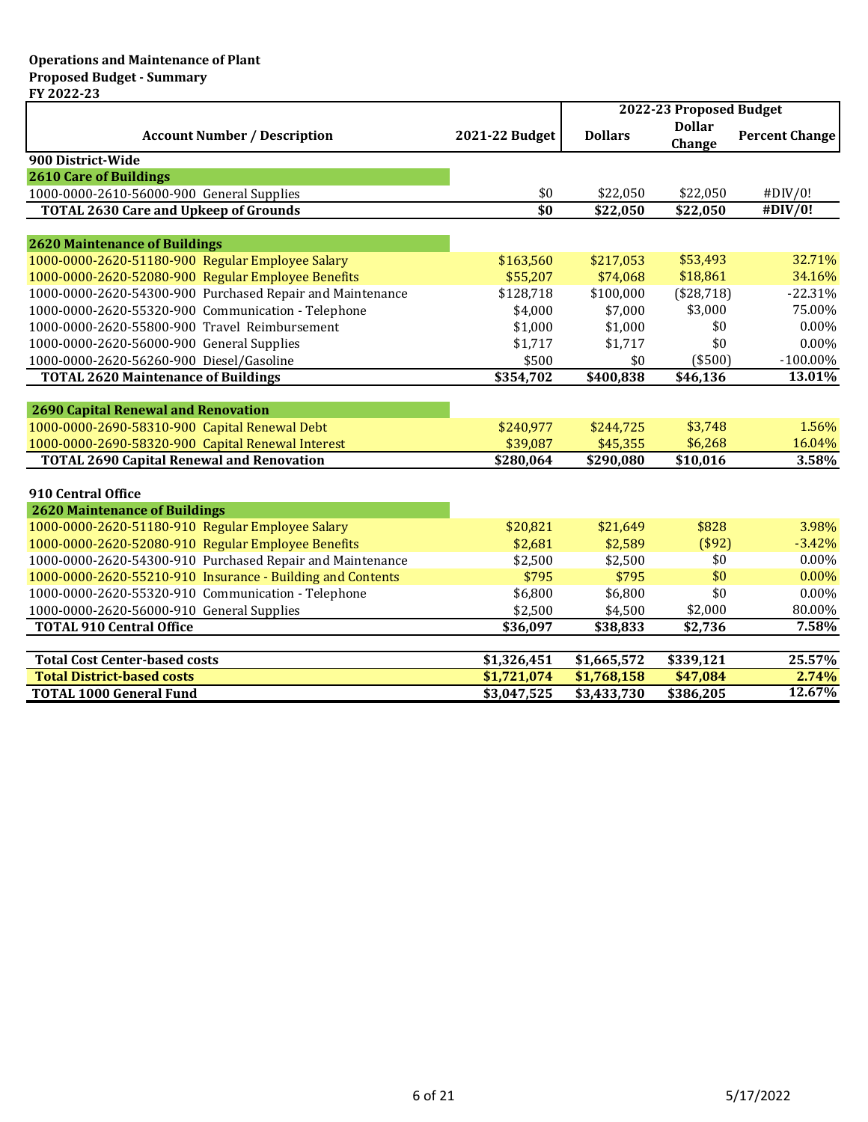|                                                            |                | 2022-23 Proposed Budget |                         |                       |
|------------------------------------------------------------|----------------|-------------------------|-------------------------|-----------------------|
| <b>Account Number / Description</b>                        | 2021-22 Budget | <b>Dollars</b>          | <b>Dollar</b><br>Change | <b>Percent Change</b> |
| 900 District-Wide                                          |                |                         |                         |                       |
| <b>2610 Care of Buildings</b>                              |                |                         |                         |                       |
| 1000-0000-2610-56000-900 General Supplies                  | \$0            | \$22,050                | \$22,050                | #DIV/0!               |
| <b>TOTAL 2630 Care and Upkeep of Grounds</b>               | \$0            | \$22,050                | \$22,050                | #DIV/0!               |
|                                                            |                |                         |                         |                       |
| <b>2620 Maintenance of Buildings</b>                       |                |                         |                         |                       |
| 1000-0000-2620-51180-900 Regular Employee Salary           | \$163,560      | \$217,053               | \$53,493                | 32.71%                |
| 1000-0000-2620-52080-900 Regular Employee Benefits         | \$55,207       | \$74,068                | \$18,861                | 34.16%                |
| 1000-0000-2620-54300-900 Purchased Repair and Maintenance  | \$128,718      | \$100,000               | (\$28,718)              | $-22.31%$             |
| 1000-0000-2620-55320-900 Communication - Telephone         | \$4,000        | \$7,000                 | \$3,000                 | 75.00%                |
| 1000-0000-2620-55800-900 Travel Reimbursement              | \$1,000        | \$1,000                 | \$0                     | 0.00%                 |
| 1000-0000-2620-56000-900 General Supplies                  | \$1,717        | \$1,717                 | \$0                     | 0.00%                 |
| 1000-0000-2620-56260-900 Diesel/Gasoline                   | \$500          | \$0                     | (\$500)                 | $-100.00\%$           |
| <b>TOTAL 2620 Maintenance of Buildings</b>                 | \$354,702      | \$400,838               | \$46,136                | 13.01%                |
|                                                            |                |                         |                         |                       |
| <b>2690 Capital Renewal and Renovation</b>                 |                |                         |                         |                       |
| 1000-0000-2690-58310-900 Capital Renewal Debt              | \$240,977      | \$244,725               | \$3,748                 | 1.56%                 |
| 1000-0000-2690-58320-900 Capital Renewal Interest          | \$39,087       | \$45,355                | \$6,268                 | 16.04%                |
| <b>TOTAL 2690 Capital Renewal and Renovation</b>           | \$280,064      | \$290,080               | \$10,016                | 3.58%                 |
| 910 Central Office                                         |                |                         |                         |                       |
| <b>2620 Maintenance of Buildings</b>                       |                |                         |                         |                       |
| 1000-0000-2620-51180-910 Regular Employee Salary           | \$20,821       | \$21,649                | \$828                   | 3.98%                 |
| 1000-0000-2620-52080-910 Regular Employee Benefits         | \$2,681        | \$2,589                 | (\$92)                  | $-3.42%$              |
| 1000-0000-2620-54300-910 Purchased Repair and Maintenance  | \$2,500        | \$2,500                 | \$0                     | 0.00%                 |
| 1000-0000-2620-55210-910 Insurance - Building and Contents | \$795          | \$795                   | \$0                     | 0.00%                 |
| 1000-0000-2620-55320-910 Communication - Telephone         | \$6,800        | \$6,800                 | \$0                     | 0.00%                 |
| 1000-0000-2620-56000-910 General Supplies                  | \$2,500        | \$4,500                 | \$2,000                 | 80.00%                |
| <b>TOTAL 910 Central Office</b>                            | \$36,097       | \$38,833                | \$2,736                 | 7.58%                 |
|                                                            |                |                         |                         |                       |
| <b>Total Cost Center-based costs</b>                       | \$1,326,451    | \$1,665,572             | \$339,121               | 25.57%                |
| <b>Total District-based costs</b>                          | \$1,721,074    | \$1,768,158             | \$47,084                | 2.74%                 |
| <b>TOTAL 1000 General Fund</b>                             | \$3,047,525    | \$3,433,730             | \$386,205               | 12.67%                |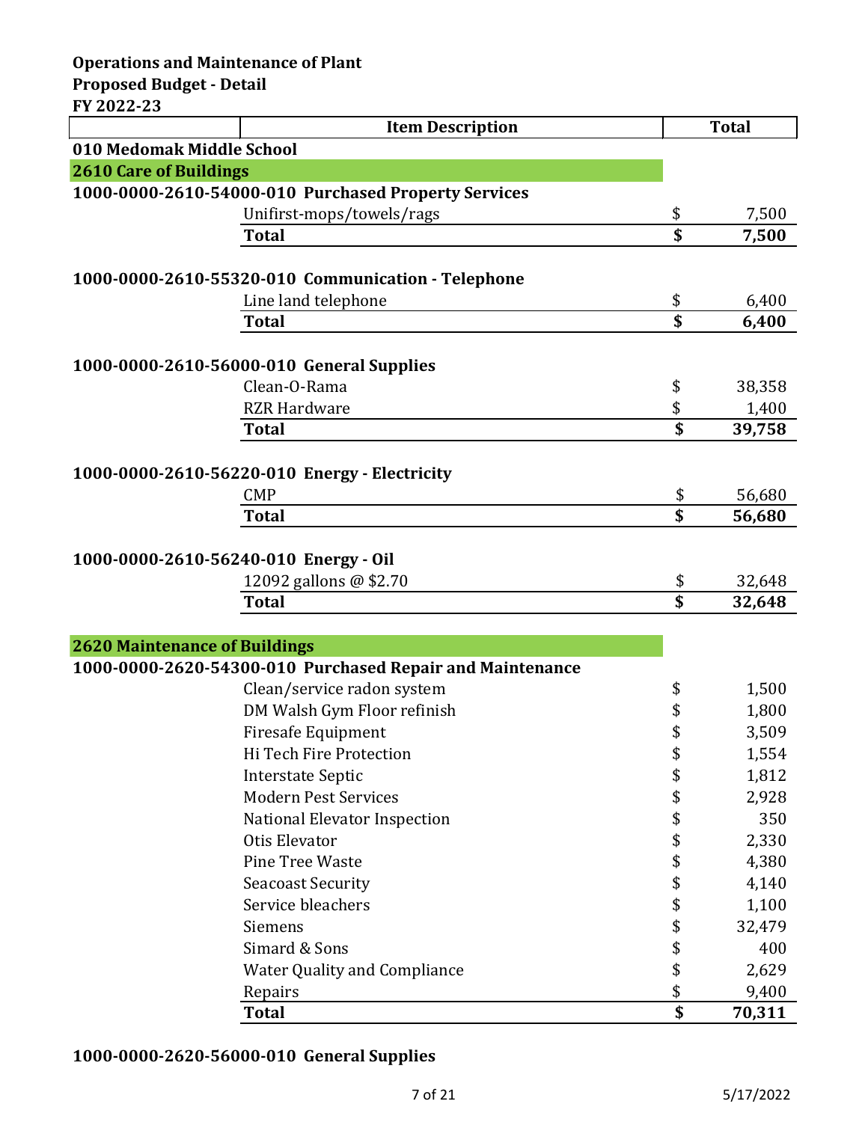**Operations and Maintenance of Plant**

**Proposed Budget - Detail FY 2022-23**

| FY 2022-23                            | <b>Item Description</b>                                   |          | <b>Total</b> |
|---------------------------------------|-----------------------------------------------------------|----------|--------------|
| 010 Medomak Middle School             |                                                           |          |              |
| <b>2610 Care of Buildings</b>         |                                                           |          |              |
|                                       | 1000-0000-2610-54000-010 Purchased Property Services      |          |              |
|                                       | Unifirst-mops/towels/rags                                 | \$       | 7,500        |
|                                       | <b>Total</b>                                              | \$       | 7,500        |
|                                       |                                                           |          |              |
|                                       | 1000-0000-2610-55320-010 Communication - Telephone        |          |              |
|                                       | Line land telephone                                       | \$<br>\$ | 6,400        |
|                                       | <b>Total</b>                                              |          | 6,400        |
|                                       | 1000-0000-2610-56000-010 General Supplies                 |          |              |
|                                       | Clean-O-Rama                                              | \$       | 38,358       |
|                                       | <b>RZR Hardware</b>                                       | \$       | 1,400        |
|                                       | <b>Total</b>                                              | \$       | 39,758       |
|                                       |                                                           |          |              |
|                                       | 1000-0000-2610-56220-010 Energy - Electricity             |          |              |
|                                       | <b>CMP</b>                                                | \$       | 56,680       |
|                                       | <b>Total</b>                                              | \$       | 56,680       |
|                                       |                                                           |          |              |
| 1000-0000-2610-56240-010 Energy - Oil |                                                           |          |              |
|                                       | 12092 gallons @ \$2.70                                    | \$       | 32,648       |
|                                       | <b>Total</b>                                              | \$       | 32,648       |
|                                       |                                                           |          |              |
| <b>2620 Maintenance of Buildings</b>  |                                                           |          |              |
|                                       | 1000-0000-2620-54300-010 Purchased Repair and Maintenance |          |              |
|                                       | Clean/service radon system                                | \$       | 1,500        |
|                                       | DM Walsh Gym Floor refinish                               | \$       | 1,800        |
|                                       | <b>Firesafe Equipment</b>                                 | \$       | 3,509        |
|                                       | Hi Tech Fire Protection                                   | \$       | 1,554        |
|                                       | <b>Interstate Septic</b>                                  | \$       | 1,812        |
|                                       | <b>Modern Pest Services</b>                               | \$       | 2,928        |
|                                       | National Elevator Inspection                              | \$       | 350          |
|                                       | Otis Elevator                                             | \$       | 2,330        |
|                                       | Pine Tree Waste                                           | \$       | 4,380        |
|                                       | <b>Seacoast Security</b>                                  | \$       | 4,140        |
|                                       | Service bleachers                                         | \$       | 1,100        |
|                                       | Siemens                                                   | \$       | 32,479       |
|                                       | Simard & Sons                                             | \$       | 400          |
|                                       | <b>Water Quality and Compliance</b>                       | \$       | 2,629        |
|                                       | Repairs                                                   | \$       | 9,400        |
|                                       | <b>Total</b>                                              | \$       | 70,311       |

# **1000-0000-2620-56000-010 General Supplies**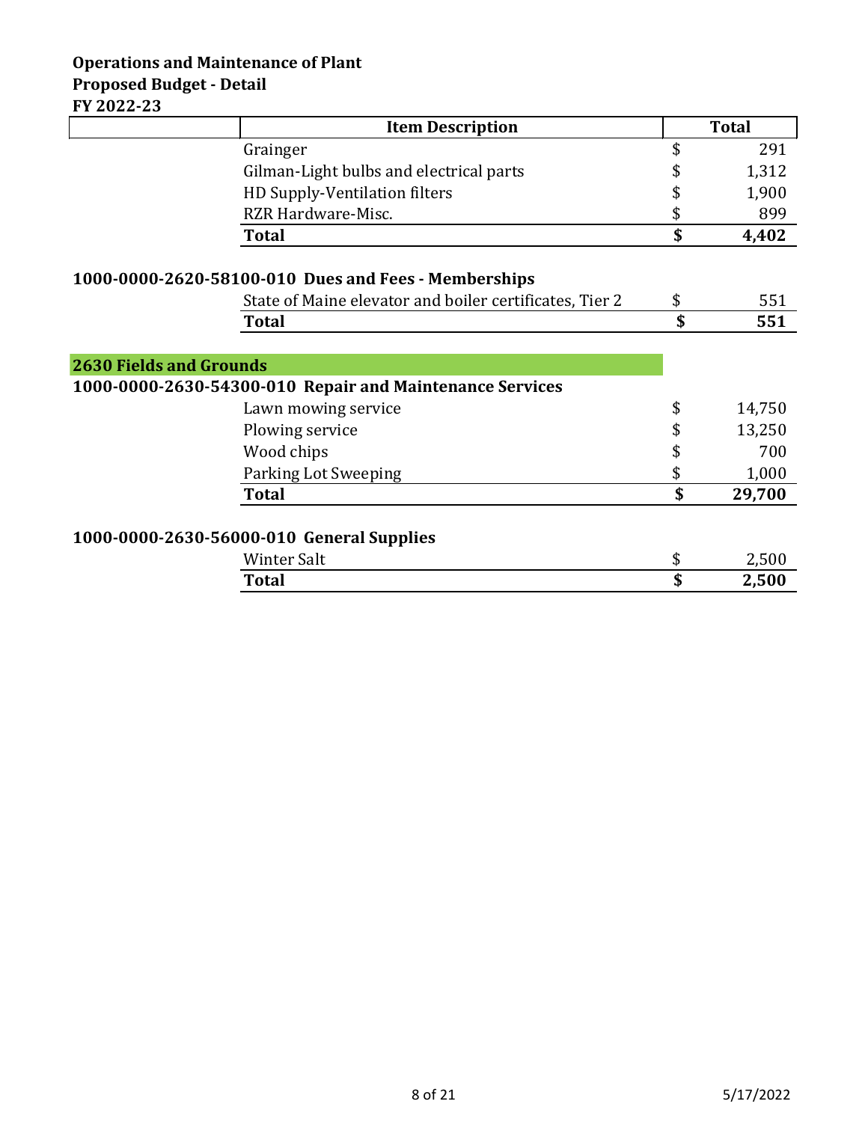## **Operations and Maintenance of Plant Proposed Budget - Detail FY 2022-23**

|                                | <b>Item Description</b>                                  | <b>Total</b> |
|--------------------------------|----------------------------------------------------------|--------------|
|                                | Grainger                                                 | \$<br>291    |
|                                | Gilman-Light bulbs and electrical parts                  | 1,312        |
|                                | HD Supply-Ventilation filters                            | \$<br>1,900  |
|                                | RZR Hardware-Misc.                                       | \$<br>899    |
|                                | <b>Total</b>                                             | \$<br>4,402  |
|                                | 1000-0000-2620-58100-010 Dues and Fees - Memberships     |              |
|                                | State of Maine elevator and boiler certificates, Tier 2  | \$<br>551    |
|                                | <b>Total</b>                                             | \$<br>551    |
| <b>2630 Fields and Grounds</b> | 1000-0000-2630-54300-010 Repair and Maintenance Services |              |
|                                | Lawn mowing service                                      | \$<br>14,750 |
|                                | Plowing service                                          | \$<br>13,250 |
|                                | Wood chips                                               | \$<br>700    |
|                                | Parking Lot Sweeping                                     | \$<br>1,000  |
|                                | <b>Total</b>                                             | \$<br>29,700 |
|                                | 1000-0000-2630-56000-010 General Supplies                |              |
|                                | <b>Winter Salt</b>                                       | \$<br>2,500  |
|                                | <b>Total</b>                                             | \$<br>2,500  |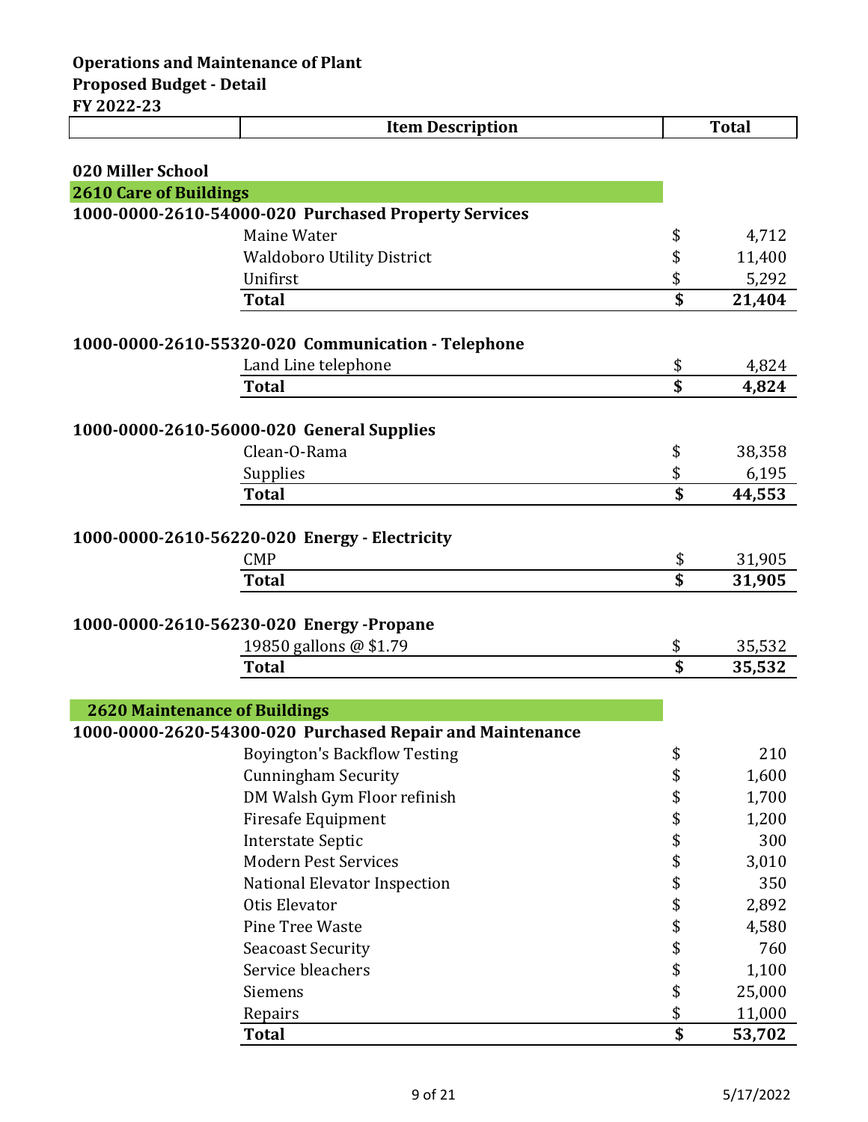|                               | <b>Item Description</b>                                   |                 | <b>Total</b> |
|-------------------------------|-----------------------------------------------------------|-----------------|--------------|
|                               |                                                           |                 |              |
| 020 Miller School             |                                                           |                 |              |
| <b>2610 Care of Buildings</b> |                                                           |                 |              |
|                               | 1000-0000-2610-54000-020 Purchased Property Services      |                 |              |
|                               | Maine Water                                               | \$              | 4,712        |
|                               | <b>Waldoboro Utility District</b>                         | \$              | 11,400       |
|                               | Unifirst                                                  | \$              | 5,292        |
|                               | <b>Total</b>                                              | \$              | 21,404       |
|                               | 1000-0000-2610-55320-020 Communication - Telephone        |                 |              |
|                               | Land Line telephone                                       | \$              | 4,824        |
|                               | <b>Total</b>                                              | \$              | 4,824        |
|                               |                                                           |                 |              |
|                               | 1000-0000-2610-56000-020 General Supplies                 |                 |              |
|                               | Clean-O-Rama                                              | \$              | 38,358       |
|                               | Supplies                                                  | \$              | 6,195        |
|                               | <b>Total</b>                                              | \$              | 44,553       |
|                               |                                                           |                 |              |
|                               | 1000-0000-2610-56220-020 Energy - Electricity             |                 |              |
|                               | <b>CMP</b>                                                | \$              | 31,905       |
|                               | <b>Total</b>                                              | \$              | 31,905       |
|                               |                                                           |                 |              |
|                               | 1000-0000-2610-56230-020 Energy-Propane                   |                 |              |
|                               | 19850 gallons @ \$1.79                                    | \$              | 35,532       |
|                               | <b>Total</b>                                              | \$              | 35,532       |
|                               |                                                           |                 |              |
|                               | <b>2620 Maintenance of Buildings</b>                      |                 |              |
|                               | 1000-0000-2620-54300-020 Purchased Repair and Maintenance |                 |              |
|                               | <b>Boyington's Backflow Testing</b>                       | \$              | 210          |
|                               | <b>Cunningham Security</b>                                | \$              | 1,600        |
|                               | DM Walsh Gym Floor refinish                               | \$              | 1,700        |
|                               | <b>Firesafe Equipment</b>                                 | \$              | 1,200        |
|                               | <b>Interstate Septic</b>                                  | \$              | 300          |
|                               | <b>Modern Pest Services</b>                               | \$              | 3,010        |
|                               | National Elevator Inspection                              | \$              | 350          |
|                               | Otis Elevator                                             | \$              | 2,892        |
|                               | Pine Tree Waste                                           | \$              | 4,580        |
|                               | <b>Seacoast Security</b>                                  | \$              | 760          |
|                               | Service bleachers                                         | \$              | 1,100        |
|                               | Siemens                                                   | \$              | 25,000       |
|                               | Repairs                                                   | \$              | 11,000       |
|                               | <b>Total</b>                                              | $\overline{\$}$ | 53,702       |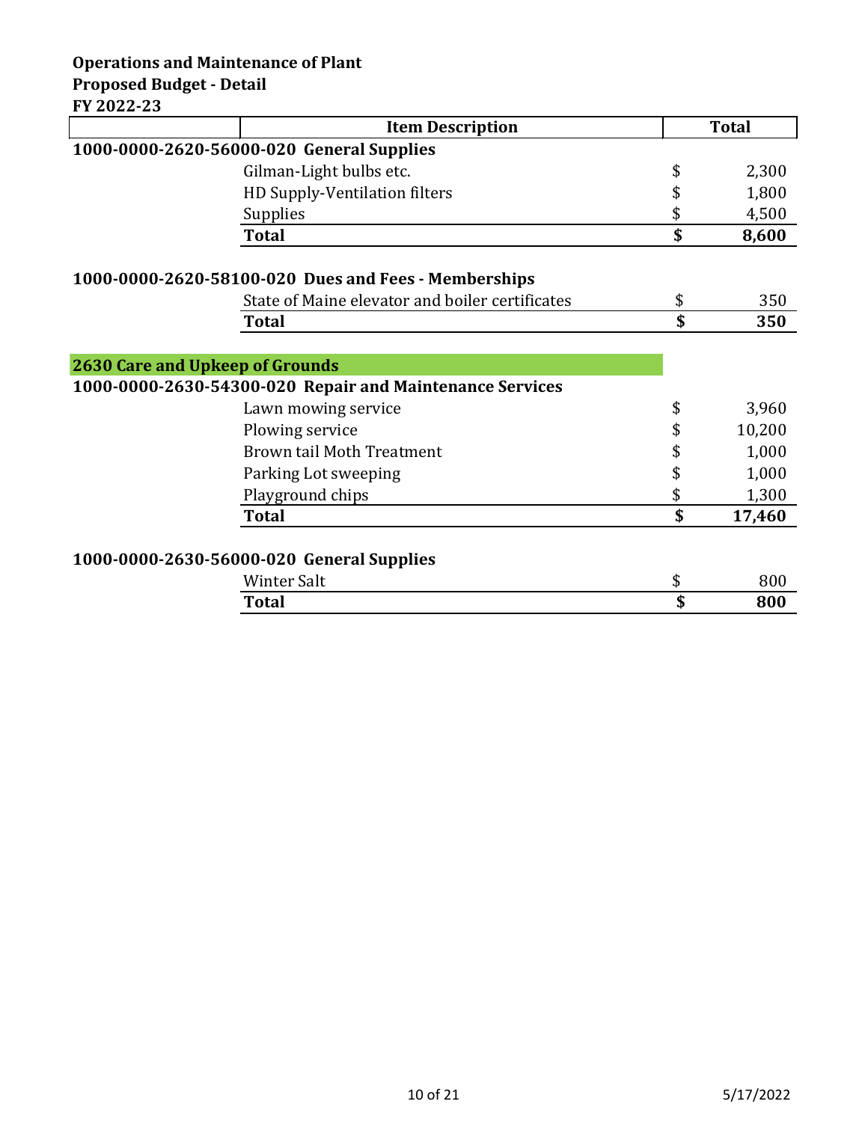## **Operations and Maintenance of Plant Proposed Budget - Detail**

**FY 2022-23**

|                                        | <b>Item Description</b>                                  | <b>Total</b> |
|----------------------------------------|----------------------------------------------------------|--------------|
|                                        | 1000-0000-2620-56000-020 General Supplies                |              |
|                                        | Gilman-Light bulbs etc.                                  | \$<br>2,300  |
|                                        | HD Supply-Ventilation filters                            | \$<br>1,800  |
|                                        | Supplies                                                 | \$<br>4,500  |
|                                        | <b>Total</b>                                             | \$<br>8,600  |
|                                        | 1000-0000-2620-58100-020 Dues and Fees - Memberships     |              |
|                                        | State of Maine elevator and boiler certificates          | \$<br>350    |
|                                        | <b>Total</b>                                             | \$<br>350    |
|                                        |                                                          |              |
| <b>2630 Care and Upkeep of Grounds</b> |                                                          |              |
|                                        | 1000-0000-2630-54300-020 Repair and Maintenance Services |              |
|                                        | Lawn mowing service                                      | \$<br>3,960  |
|                                        | Plowing service                                          | \$<br>10,200 |
|                                        | <b>Brown tail Moth Treatment</b>                         | \$<br>1,000  |
|                                        | Parking Lot sweeping                                     | \$<br>1,000  |
|                                        | Playground chips                                         | \$<br>1,300  |
|                                        | <b>Total</b>                                             | \$<br>17,460 |
|                                        | 1000-0000-2630-56000-020 General Supplies                |              |
|                                        | <b>Winter Salt</b>                                       | \$<br>800    |
|                                        | <b>Total</b>                                             | \$<br>800    |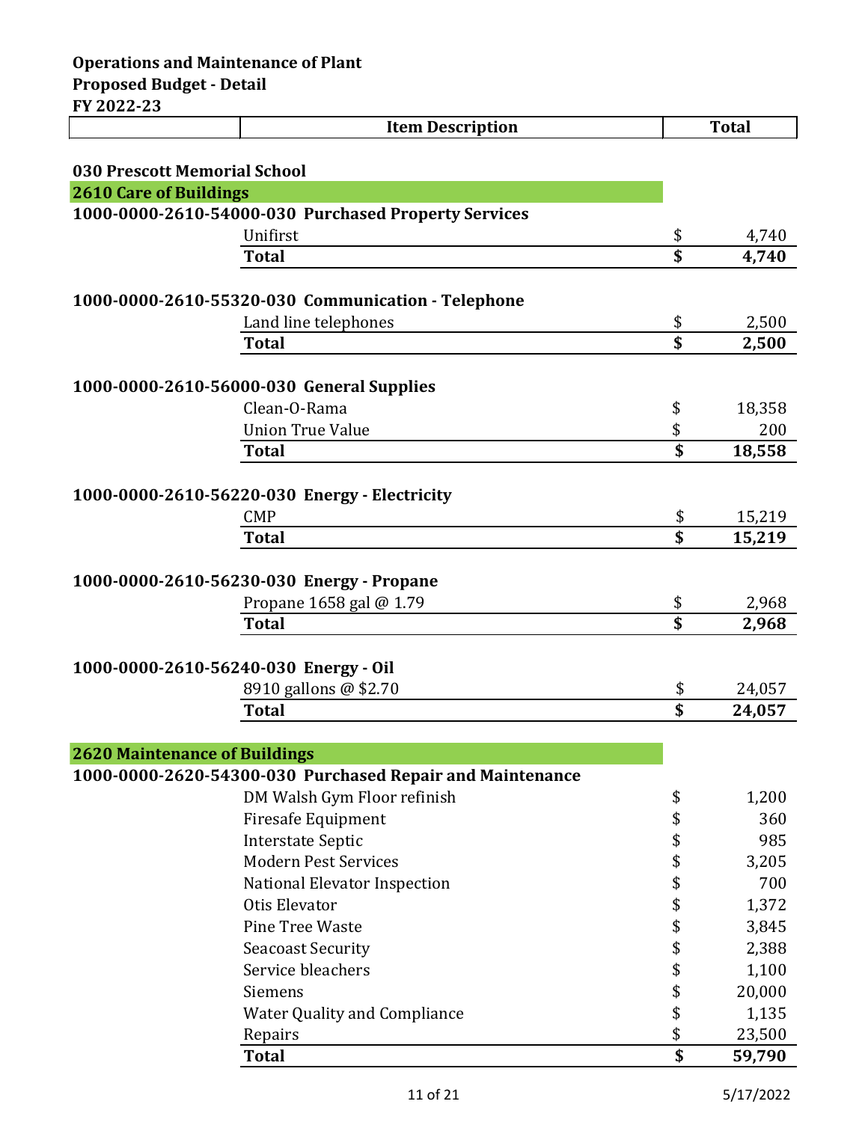| 1 AVAA AJ                             | <b>Item Description</b>                                   |          | <b>Total</b> |
|---------------------------------------|-----------------------------------------------------------|----------|--------------|
|                                       |                                                           |          |              |
| 030 Prescott Memorial School          |                                                           |          |              |
| <b>2610 Care of Buildings</b>         |                                                           |          |              |
|                                       | 1000-0000-2610-54000-030 Purchased Property Services      |          |              |
|                                       | Unifirst                                                  | \$       | 4,740        |
|                                       | <b>Total</b>                                              | \$       | 4,740        |
|                                       | 1000-0000-2610-55320-030 Communication - Telephone        |          |              |
|                                       | Land line telephones                                      | \$       | 2,500        |
|                                       | <b>Total</b>                                              | \$       | 2,500        |
|                                       |                                                           |          |              |
|                                       | 1000-0000-2610-56000-030 General Supplies                 |          |              |
|                                       | Clean-O-Rama                                              | \$       | 18,358       |
|                                       | <b>Union True Value</b>                                   | \$       | 200          |
|                                       | <b>Total</b>                                              | \$       | 18,558       |
|                                       |                                                           |          |              |
|                                       | 1000-0000-2610-56220-030 Energy - Electricity             |          |              |
|                                       | <b>CMP</b>                                                | \$       | 15,219       |
|                                       | <b>Total</b>                                              | \$       | 15,219       |
|                                       |                                                           |          |              |
|                                       | 1000-0000-2610-56230-030 Energy - Propane                 |          |              |
|                                       | Propane 1658 gal @ 1.79                                   | \$       | 2,968        |
|                                       | <b>Total</b>                                              | \$       | 2,968        |
|                                       |                                                           |          |              |
| 1000-0000-2610-56240-030 Energy - Oil |                                                           |          |              |
|                                       | 8910 gallons @ \$2.70                                     | \$<br>\$ | 24,057       |
|                                       | <b>Total</b>                                              |          | 24,057       |
|                                       |                                                           |          |              |
| <b>2620 Maintenance of Buildings</b>  | 1000-0000-2620-54300-030 Purchased Repair and Maintenance |          |              |
|                                       | DM Walsh Gym Floor refinish                               | \$       | 1,200        |
|                                       | <b>Firesafe Equipment</b>                                 | \$       | 360          |
|                                       | <b>Interstate Septic</b>                                  | \$       | 985          |
|                                       | <b>Modern Pest Services</b>                               | \$       | 3,205        |
|                                       | National Elevator Inspection                              | \$       | 700          |
|                                       | Otis Elevator                                             | \$       | 1,372        |
|                                       | Pine Tree Waste                                           | \$       | 3,845        |
|                                       | <b>Seacoast Security</b>                                  | \$       | 2,388        |
|                                       | Service bleachers                                         | \$       | 1,100        |
|                                       | Siemens                                                   | \$       | 20,000       |
|                                       | <b>Water Quality and Compliance</b>                       | \$       | 1,135        |
|                                       | Repairs                                                   | \$       | 23,500       |
|                                       | <b>Total</b>                                              | \$       | 59,790       |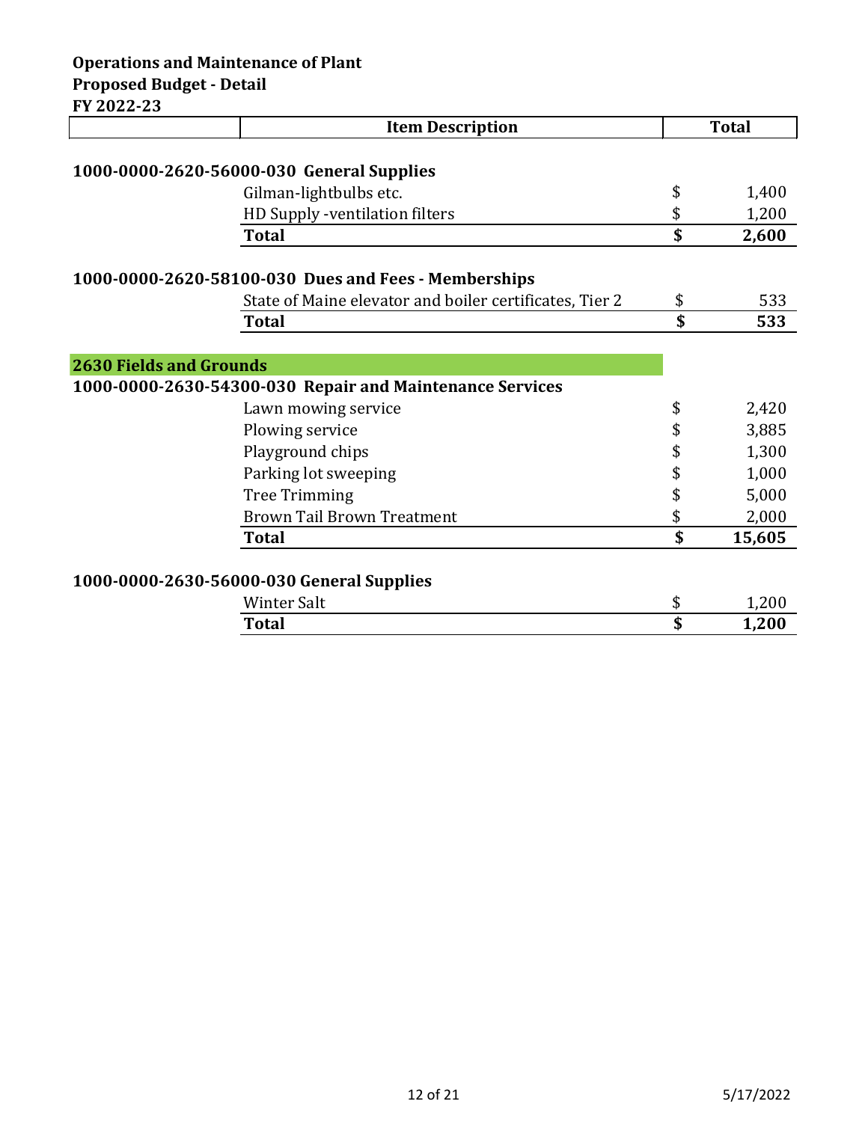|                                | <b>Item Description</b>                                  |             | <b>Total</b> |
|--------------------------------|----------------------------------------------------------|-------------|--------------|
|                                |                                                          |             |              |
|                                | 1000-0000-2620-56000-030 General Supplies                |             |              |
|                                | Gilman-lightbulbs etc.                                   | \$          | 1,400        |
|                                | HD Supply -ventilation filters                           | \$          | 1,200        |
|                                | <b>Total</b>                                             | \$          | 2,600        |
|                                |                                                          |             |              |
|                                | 1000-0000-2620-58100-030 Dues and Fees - Memberships     |             |              |
|                                | State of Maine elevator and boiler certificates, Tier 2  | \$          | 533          |
|                                | <b>Total</b>                                             | $\mathbf S$ | 533          |
|                                |                                                          |             |              |
| <b>2630 Fields and Grounds</b> |                                                          |             |              |
|                                | 1000-0000-2630-54300-030 Repair and Maintenance Services |             |              |
|                                | Lawn mowing service                                      | \$          | 2,420        |
|                                | Plowing service                                          | \$          | 3,885        |
|                                | Playground chips                                         | \$          | 1,300        |
|                                | Parking lot sweeping                                     | \$          | 1,000        |
|                                | <b>Tree Trimming</b>                                     | \$          | 5,000        |
|                                | <b>Brown Tail Brown Treatment</b>                        | \$          | 2,000        |
|                                | <b>Total</b>                                             | \$          | 15,605       |
|                                |                                                          |             |              |
|                                | 1000-0000-2630-56000-030 General Supplies                |             |              |

| Winter Salt  | J       | 1,200 |
|--------------|---------|-------|
| <b>Total</b> | đ<br>۰J | 1,200 |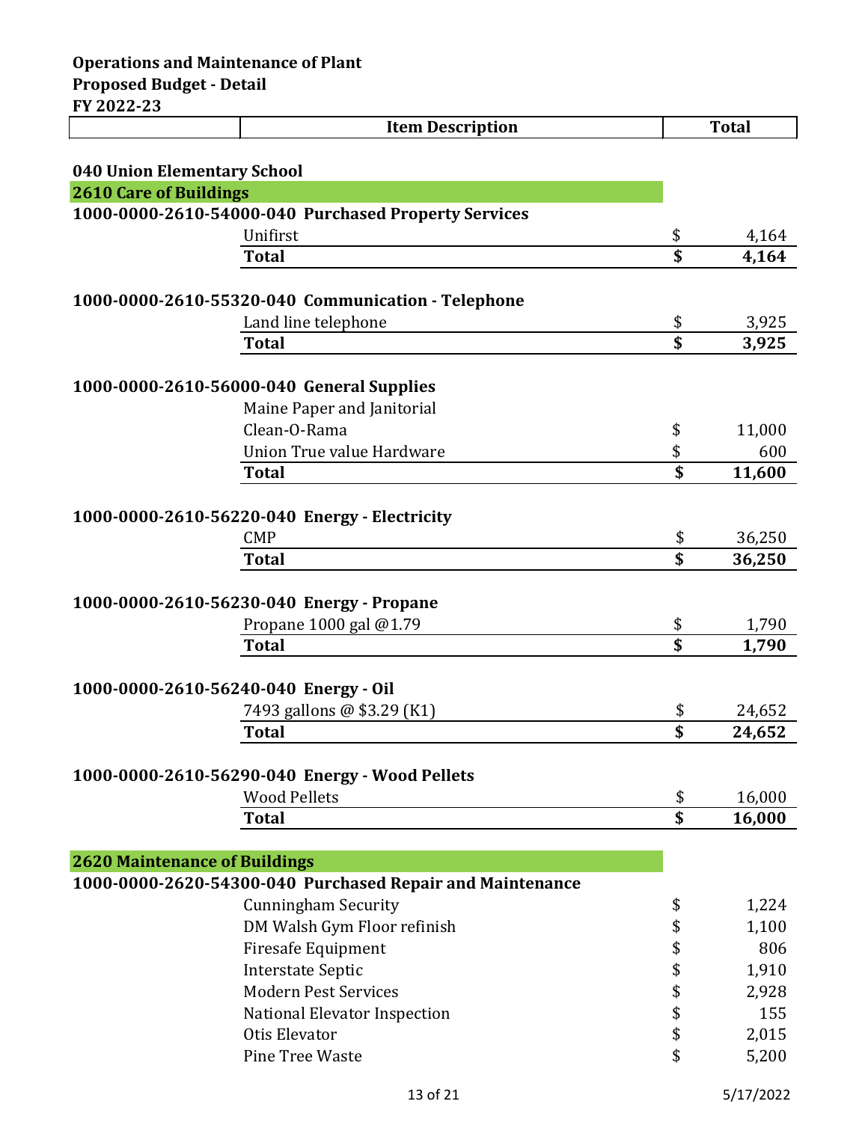|                                      | <b>Item Description</b>                                   |          | <b>Total</b>     |
|--------------------------------------|-----------------------------------------------------------|----------|------------------|
|                                      |                                                           |          |                  |
| 040 Union Elementary School          |                                                           |          |                  |
| <b>2610 Care of Buildings</b>        |                                                           |          |                  |
|                                      | 1000-0000-2610-54000-040 Purchased Property Services      |          |                  |
|                                      | Unifirst                                                  | \$       | 4,164            |
|                                      | <b>Total</b>                                              | \$       | 4,164            |
|                                      | 1000-0000-2610-55320-040 Communication - Telephone        |          |                  |
|                                      | Land line telephone                                       | \$       | 3,925            |
|                                      | <b>Total</b>                                              | \$       | 3,925            |
|                                      |                                                           |          |                  |
|                                      | 1000-0000-2610-56000-040 General Supplies                 |          |                  |
|                                      | Maine Paper and Janitorial                                |          |                  |
|                                      | Clean-O-Rama                                              | \$       | 11,000           |
|                                      | Union True value Hardware                                 | \$       | 600              |
|                                      | <b>Total</b>                                              | \$       | 11,600           |
|                                      |                                                           |          |                  |
|                                      | 1000-0000-2610-56220-040 Energy - Electricity             |          |                  |
|                                      | <b>CMP</b><br><b>Total</b>                                | \$<br>\$ | 36,250<br>36,250 |
|                                      |                                                           |          |                  |
|                                      | 1000-0000-2610-56230-040 Energy - Propane                 |          |                  |
|                                      | Propane 1000 gal @1.79                                    | \$       | 1,790            |
|                                      | <b>Total</b>                                              | \$       | 1,790            |
|                                      |                                                           |          |                  |
|                                      | 1000-0000-2610-56240-040 Energy - Oil                     |          |                  |
|                                      | 7493 gallons @ \$3.29 (K1)                                | \$       | 24,652           |
|                                      | <b>Total</b>                                              | \$       | 24,652           |
|                                      |                                                           |          |                  |
|                                      | 1000-0000-2610-56290-040 Energy - Wood Pellets            |          |                  |
|                                      | <b>Wood Pellets</b>                                       | \$       | 16,000           |
|                                      | <b>Total</b>                                              | \$       | 16,000           |
|                                      |                                                           |          |                  |
| <b>2620 Maintenance of Buildings</b> | 1000-0000-2620-54300-040 Purchased Repair and Maintenance |          |                  |
|                                      | <b>Cunningham Security</b>                                | \$       | 1,224            |
|                                      | DM Walsh Gym Floor refinish                               | \$       | 1,100            |
|                                      | <b>Firesafe Equipment</b>                                 | \$       | 806              |
|                                      | <b>Interstate Septic</b>                                  | \$       | 1,910            |
|                                      | <b>Modern Pest Services</b>                               | \$       | 2,928            |
|                                      | National Elevator Inspection                              | \$       | 155              |
|                                      | Otis Elevator                                             | \$       | 2,015            |
|                                      | Pine Tree Waste                                           | \$       | 5,200            |

Pine Tree Waste  $\qquad \qquad$  5,200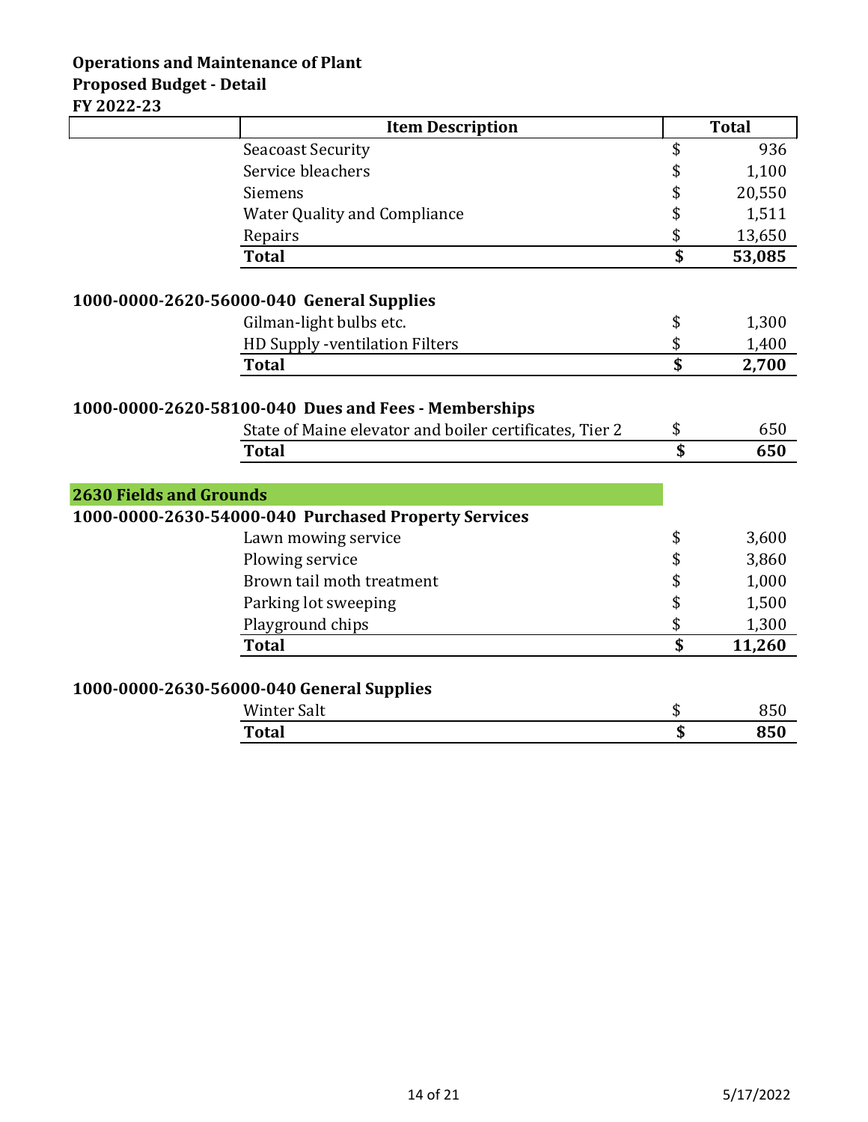## **Operations and Maintenance of Plant Proposed Budget - Detail FY 2022-23**

|                                | <b>Item Description</b>                                 | <b>Total</b> |
|--------------------------------|---------------------------------------------------------|--------------|
|                                | <b>Seacoast Security</b>                                | \$<br>936    |
|                                | Service bleachers                                       | \$<br>1,100  |
|                                | Siemens                                                 | \$<br>20,550 |
|                                | <b>Water Quality and Compliance</b>                     | \$<br>1,511  |
|                                | Repairs                                                 | \$<br>13,650 |
|                                | <b>Total</b>                                            | \$<br>53,085 |
|                                | 1000-0000-2620-56000-040 General Supplies               |              |
|                                | Gilman-light bulbs etc.                                 | \$<br>1,300  |
|                                | HD Supply -ventilation Filters                          | \$<br>1,400  |
|                                | <b>Total</b>                                            | \$<br>2,700  |
|                                |                                                         |              |
|                                | 1000-0000-2620-58100-040 Dues and Fees - Memberships    |              |
|                                | State of Maine elevator and boiler certificates, Tier 2 | \$<br>650    |
|                                | <b>Total</b>                                            | \$<br>650    |
|                                |                                                         |              |
| <b>2630 Fields and Grounds</b> |                                                         |              |
|                                | 1000-0000-2630-54000-040 Purchased Property Services    |              |
|                                | Lawn mowing service                                     | \$<br>3,600  |
|                                | Plowing service                                         | \$<br>3,860  |
|                                | Brown tail moth treatment                               | \$<br>1,000  |
|                                | Parking lot sweeping                                    | \$<br>1,500  |
|                                | Playground chips                                        | \$<br>1,300  |
|                                | <b>Total</b>                                            | \$<br>11,260 |
|                                |                                                         |              |
|                                | 1000-0000-2630-56000-040 General Supplies               |              |
|                                | <b>Winter Salt</b>                                      | \$<br>850    |
|                                | <b>Total</b>                                            | \$<br>850    |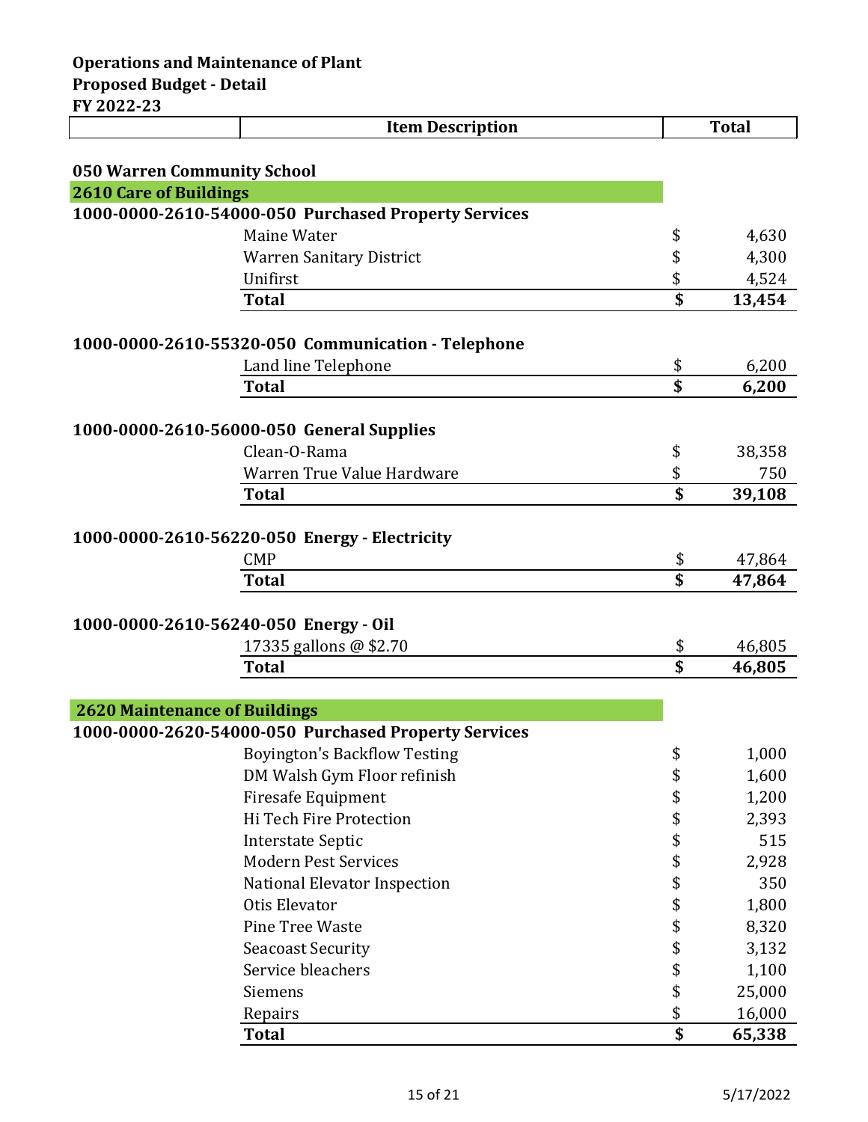|                                      | <b>Item Description</b>                              |                                      | <b>Total</b> |
|--------------------------------------|------------------------------------------------------|--------------------------------------|--------------|
|                                      |                                                      |                                      |              |
| <b>050 Warren Community School</b>   |                                                      |                                      |              |
| <b>2610 Care of Buildings</b>        |                                                      |                                      |              |
|                                      | 1000-0000-2610-54000-050 Purchased Property Services |                                      |              |
|                                      | Maine Water                                          | \$                                   | 4,630        |
|                                      | <b>Warren Sanitary District</b>                      | \$                                   | 4,300        |
|                                      | Unifirst                                             | \$                                   | 4,524        |
|                                      | <b>Total</b>                                         | \$                                   | 13,454       |
|                                      |                                                      |                                      |              |
|                                      | 1000-0000-2610-55320-050 Communication - Telephone   |                                      |              |
|                                      | Land line Telephone                                  | \$                                   | 6,200        |
|                                      | <b>Total</b>                                         | \$                                   | 6,200        |
|                                      | 1000-0000-2610-56000-050 General Supplies            |                                      |              |
|                                      | Clean-O-Rama                                         | \$                                   | 38,358       |
|                                      | Warren True Value Hardware                           | \$                                   | 750          |
|                                      | <b>Total</b>                                         | \$                                   | 39,108       |
|                                      |                                                      |                                      |              |
|                                      | 1000-0000-2610-56220-050 Energy - Electricity        |                                      |              |
|                                      | <b>CMP</b>                                           | \$                                   | 47,864       |
|                                      | <b>Total</b>                                         | \$                                   | 47,864       |
|                                      |                                                      |                                      |              |
|                                      | 1000-0000-2610-56240-050 Energy - Oil                |                                      |              |
|                                      | 17335 gallons @ \$2.70                               | \$                                   | 46,805       |
|                                      | Total                                                | \$                                   | 46,805       |
|                                      |                                                      |                                      |              |
| <b>2620 Maintenance of Buildings</b> |                                                      |                                      |              |
|                                      | 1000-0000-2620-54000-050 Purchased Property Services |                                      |              |
|                                      | <b>Boyington's Backflow Testing</b>                  | \$                                   | 1,000        |
|                                      | DM Walsh Gym Floor refinish                          | \$                                   | 1,600        |
|                                      | <b>Firesafe Equipment</b>                            | \$                                   | 1,200        |
|                                      | Hi Tech Fire Protection                              | \$                                   | 2,393        |
|                                      | <b>Interstate Septic</b>                             | \$                                   | 515          |
|                                      | <b>Modern Pest Services</b>                          | \$                                   | 2,928        |
|                                      | National Elevator Inspection                         | \$                                   | 350          |
|                                      | Otis Elevator                                        | \$                                   | 1,800        |
|                                      | Pine Tree Waste                                      | \$                                   | 8,320        |
|                                      | <b>Seacoast Security</b>                             | \$                                   | 3,132        |
|                                      | Service bleachers                                    | \$                                   | 1,100        |
|                                      | Siemens                                              | \$                                   | 25,000       |
|                                      | Repairs                                              | \$                                   | 16,000       |
|                                      | <b>Total</b>                                         | $\overline{\boldsymbol{\mathsf{s}}}$ | 65,338       |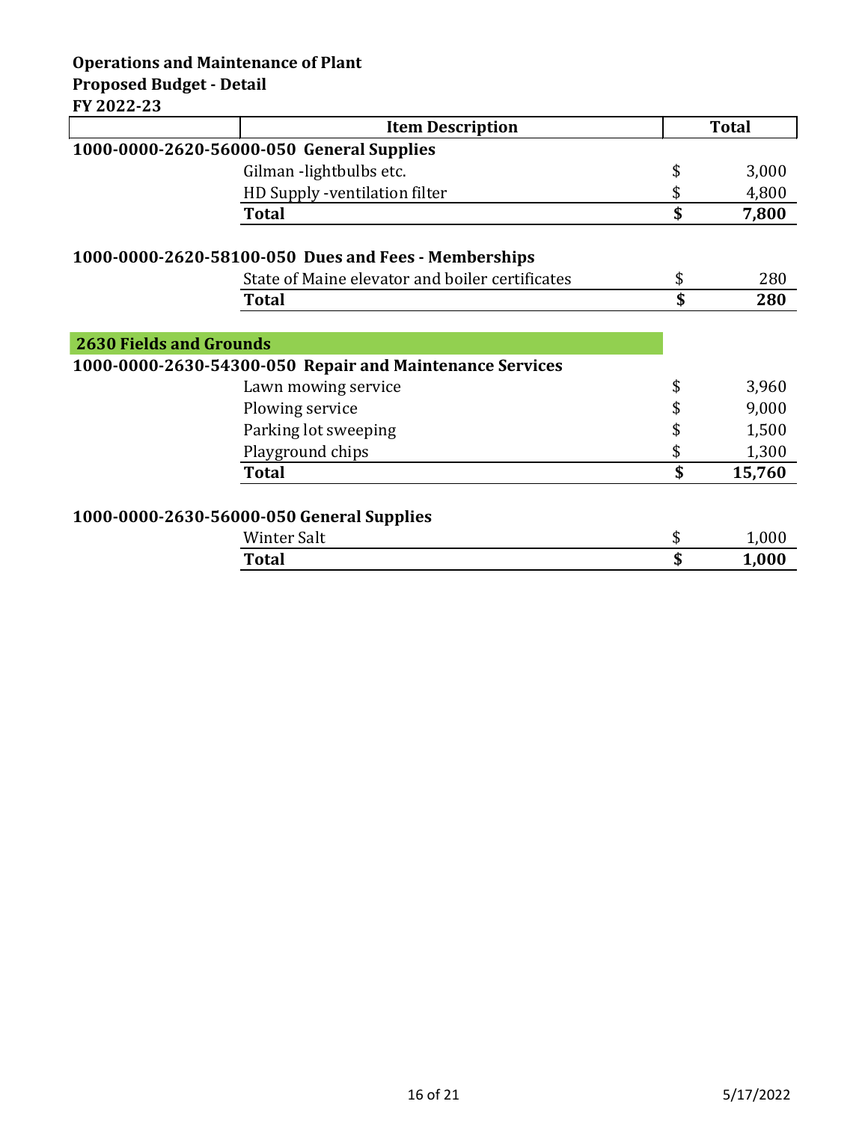**Item Description Total 1000-0000-2620-56000-050 General Supplies** Gilman -lightbulbs etc.  $\qquad$  \$ 3,000 HD Supply -ventilation filter  $$ 4,800$ **Total \$ 7,800 1000-0000-2620-58100-050 Dues and Fees - Memberships** State of Maine elevator and boiler certificates  $$$  80 **Total \$ 280 2630 Fields and Grounds 1000-0000-2630-54300-050 Repair and Maintenance Services** Lawn mowing service  $\qquad \qquad$  \$ 3,960 Plowing service  $\qquad \qquad$  9,000 Parking lot sweeping  $\qquad \qquad$  \$ 1,500 Playground chips  $\qquad \qquad$  1,300 **Total \$ 15,760 1000-0000-2630-56000-050 General Supplies**

| Winter Salt  | м. | 1,000 |
|--------------|----|-------|
| <b>Total</b> | ۰υ | 1,000 |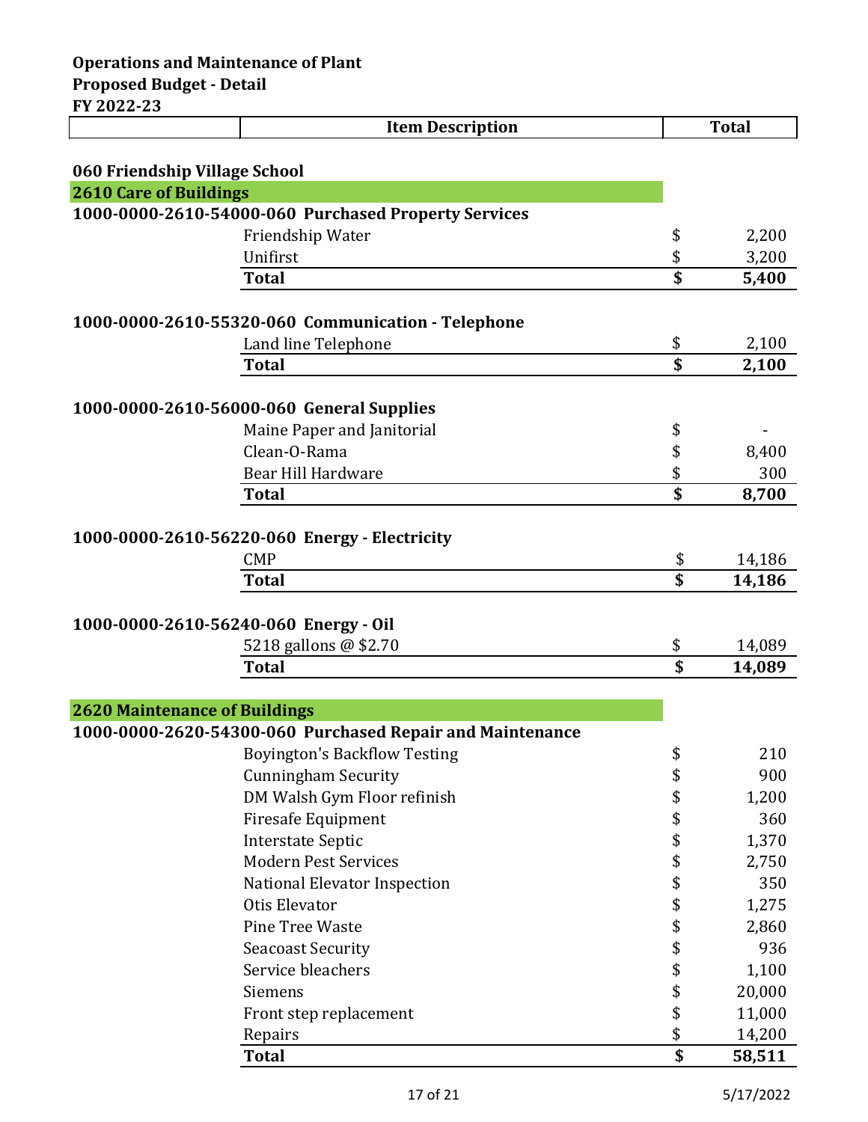| II AULL-LJ                            | <b>Item Description</b>                                   | <b>Total</b> |
|---------------------------------------|-----------------------------------------------------------|--------------|
|                                       |                                                           |              |
| 060 Friendship Village School         |                                                           |              |
| <b>2610 Care of Buildings</b>         |                                                           |              |
|                                       | 1000-0000-2610-54000-060 Purchased Property Services      |              |
|                                       | Friendship Water                                          | \$<br>2,200  |
|                                       | Unifirst                                                  | \$<br>3,200  |
|                                       | <b>Total</b>                                              | \$<br>5,400  |
|                                       | 1000-0000-2610-55320-060 Communication - Telephone        |              |
|                                       | Land line Telephone                                       | \$<br>2,100  |
|                                       | <b>Total</b>                                              | \$<br>2,100  |
|                                       |                                                           |              |
|                                       | 1000-0000-2610-56000-060 General Supplies                 |              |
|                                       | Maine Paper and Janitorial                                | \$           |
|                                       | Clean-O-Rama                                              | \$<br>8,400  |
|                                       | Bear Hill Hardware                                        | \$<br>300    |
|                                       | <b>Total</b>                                              | \$<br>8,700  |
|                                       |                                                           |              |
|                                       | 1000-0000-2610-56220-060 Energy - Electricity             |              |
|                                       | <b>CMP</b>                                                | \$<br>14,186 |
|                                       | <b>Total</b>                                              | \$<br>14,186 |
|                                       |                                                           |              |
| 1000-0000-2610-56240-060 Energy - Oil |                                                           |              |
|                                       | 5218 gallons @ \$2.70                                     | \$<br>14,089 |
|                                       | <b>Total</b>                                              | \$<br>14,089 |
|                                       |                                                           |              |
| <b>2620 Maintenance of Buildings</b>  |                                                           |              |
|                                       | 1000-0000-2620-54300-060 Purchased Repair and Maintenance |              |
|                                       | <b>Boyington's Backflow Testing</b>                       | \$<br>210    |
|                                       | <b>Cunningham Security</b>                                | \$<br>900    |
|                                       | DM Walsh Gym Floor refinish                               | \$<br>1,200  |
|                                       | <b>Firesafe Equipment</b>                                 | \$<br>360    |
|                                       | <b>Interstate Septic</b>                                  | \$<br>1,370  |
|                                       | <b>Modern Pest Services</b>                               | \$<br>2,750  |
|                                       | National Elevator Inspection                              | \$<br>350    |
|                                       | Otis Elevator                                             | \$<br>1,275  |
|                                       | Pine Tree Waste                                           | \$<br>2,860  |
|                                       | <b>Seacoast Security</b>                                  | \$<br>936    |
|                                       | Service bleachers                                         | \$<br>1,100  |
|                                       | Siemens                                                   | \$<br>20,000 |
|                                       | Front step replacement                                    | \$<br>11,000 |
|                                       | Repairs                                                   | \$<br>14,200 |
|                                       | <b>Total</b>                                              | \$<br>58,511 |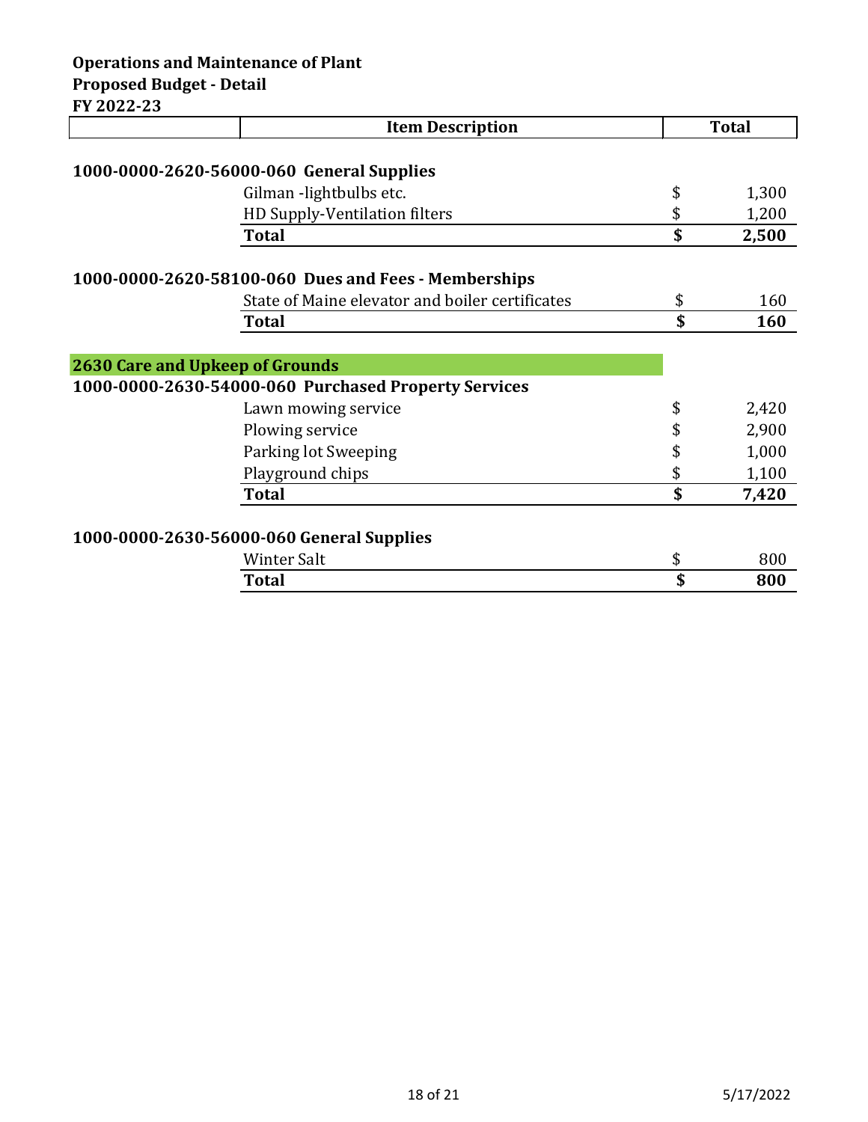|                                        | <b>Item Description</b>                              | <b>Total</b> |
|----------------------------------------|------------------------------------------------------|--------------|
|                                        |                                                      |              |
|                                        | 1000-0000-2620-56000-060 General Supplies            |              |
|                                        | Gilman -lightbulbs etc.                              | \$<br>1,300  |
|                                        | HD Supply-Ventilation filters                        | \$<br>1,200  |
|                                        | <b>Total</b>                                         | \$<br>2,500  |
|                                        | 1000-0000-2620-58100-060 Dues and Fees - Memberships |              |
|                                        | State of Maine elevator and boiler certificates      | \$<br>160    |
|                                        | <b>Total</b>                                         | \$<br>160    |
|                                        |                                                      |              |
| <b>2630 Care and Upkeep of Grounds</b> |                                                      |              |
|                                        | 1000-0000-2630-54000-060 Purchased Property Services |              |
|                                        | Lawn mowing service                                  | \$<br>2,420  |
|                                        | Plowing service                                      | \$<br>2,900  |
|                                        | Parking lot Sweeping                                 | \$<br>1,000  |
|                                        | Playground chips                                     | \$<br>1,100  |
|                                        | <b>Total</b>                                         | \$<br>7,420  |
|                                        |                                                      |              |
|                                        | 1000-0000-2630-56000-060 General Supplies            |              |
|                                        | <b>Winter Salt</b>                                   | \$<br>800    |
|                                        | Total                                                | \$<br>800    |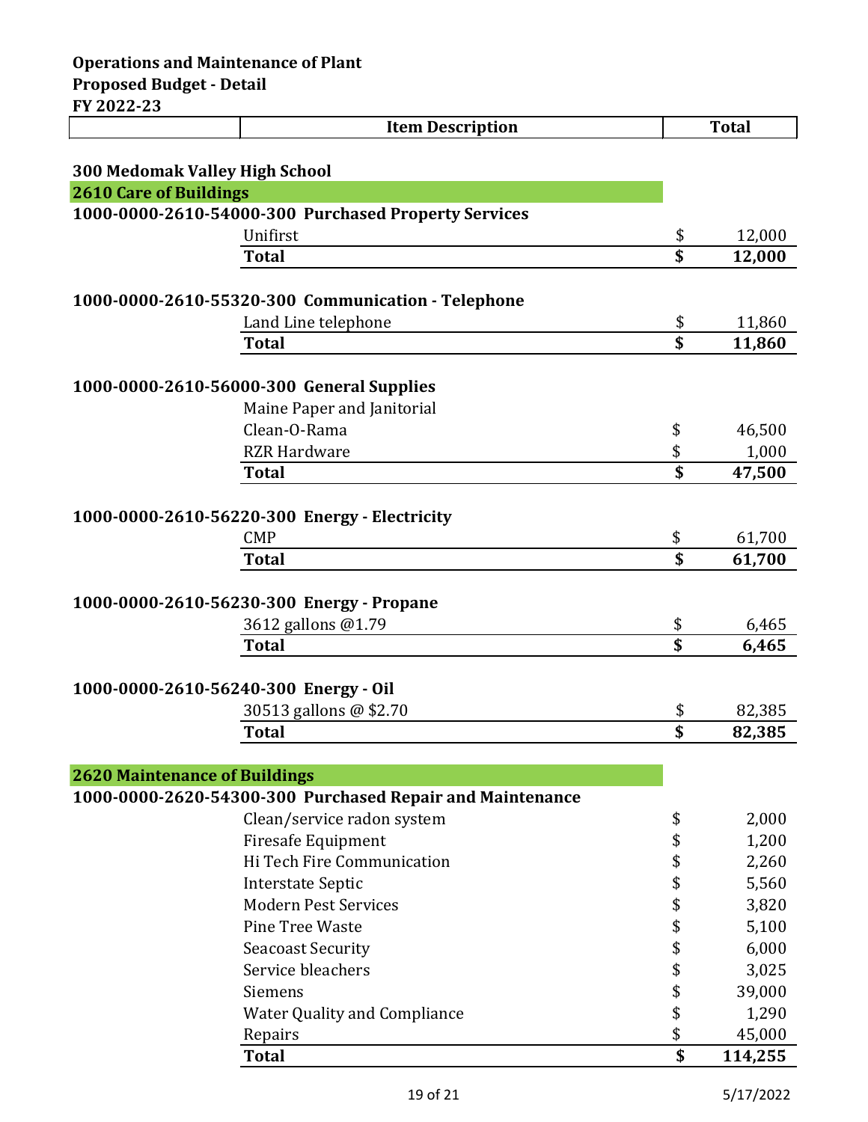| 1 AVAA AJ                             | <b>Item Description</b>                                     |                         | <b>Total</b>     |
|---------------------------------------|-------------------------------------------------------------|-------------------------|------------------|
|                                       |                                                             |                         |                  |
| <b>300 Medomak Valley High School</b> |                                                             |                         |                  |
| <b>2610 Care of Buildings</b>         |                                                             |                         |                  |
|                                       | 1000-0000-2610-54000-300 Purchased Property Services        |                         |                  |
|                                       | Unifirst                                                    | \$                      | 12,000           |
|                                       | <b>Total</b>                                                | \$                      | 12,000           |
|                                       |                                                             |                         |                  |
|                                       | 1000-0000-2610-55320-300 Communication - Telephone          |                         |                  |
|                                       | Land Line telephone                                         | \$                      | 11,860           |
|                                       | <b>Total</b>                                                | \$                      | 11,860           |
|                                       |                                                             |                         |                  |
|                                       | 1000-0000-2610-56000-300 General Supplies                   |                         |                  |
|                                       | Maine Paper and Janitorial                                  |                         |                  |
|                                       | Clean-O-Rama                                                | \$                      | 46,500           |
|                                       | <b>RZR Hardware</b>                                         | \$                      | 1,000            |
|                                       | <b>Total</b>                                                | $\overline{\mathbf{S}}$ | 47,500           |
|                                       |                                                             |                         |                  |
|                                       | 1000-0000-2610-56220-300 Energy - Electricity<br><b>CMP</b> |                         |                  |
|                                       | <b>Total</b>                                                | \$<br>\$                | 61,700<br>61,700 |
|                                       |                                                             |                         |                  |
|                                       | 1000-0000-2610-56230-300 Energy - Propane                   |                         |                  |
|                                       | 3612 gallons @1.79                                          | \$                      | 6,465            |
|                                       | <b>Total</b>                                                | \$                      | 6,465            |
|                                       |                                                             |                         |                  |
| 1000-0000-2610-56240-300 Energy - Oil |                                                             |                         |                  |
|                                       | 30513 gallons @ \$2.70                                      | \$                      | 82,385           |
|                                       | <b>Total</b>                                                | \$                      | 82,385           |
|                                       |                                                             |                         |                  |
| <b>2620 Maintenance of Buildings</b>  |                                                             |                         |                  |
|                                       | 1000-0000-2620-54300-300 Purchased Repair and Maintenance   |                         |                  |
|                                       | Clean/service radon system                                  | \$                      | 2,000            |
|                                       | <b>Firesafe Equipment</b>                                   | \$                      | 1,200            |
|                                       | Hi Tech Fire Communication                                  | \$                      | 2,260            |
|                                       | <b>Interstate Septic</b>                                    | \$                      | 5,560            |
|                                       | <b>Modern Pest Services</b>                                 | \$                      | 3,820            |
|                                       | Pine Tree Waste                                             | \$                      | 5,100            |
|                                       | <b>Seacoast Security</b>                                    | \$                      | 6,000            |
|                                       | Service bleachers                                           | \$                      | 3,025            |
|                                       | Siemens                                                     | \$                      | 39,000           |
|                                       | <b>Water Quality and Compliance</b>                         | \$                      | 1,290            |
|                                       | Repairs                                                     | \$                      | 45,000           |

**Total \$ 114,255**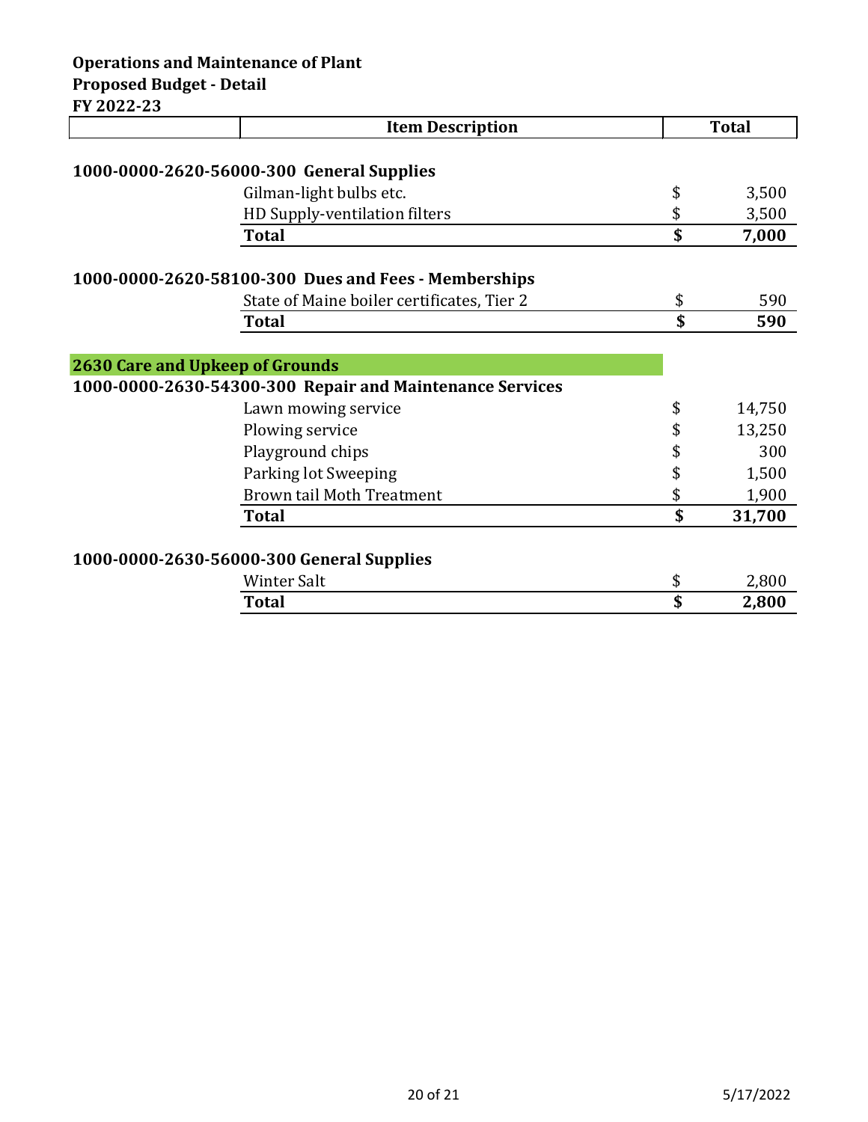## **Operations and Maintenance of Plant Proposed Budget - Detail FY 2022-23**

**Item Description Total 1000-0000-2620-56000-300 General Supplies** Gilman-light bulbs etc.  $\qquad \qquad$  \$ 3,500 HD Supply-ventilation filters  $$3,500$ **Total \$ 7,000 1000-0000-2620-58100-300 Dues and Fees - Memberships** State of Maine boiler certificates, Tier 2  $$590$ **Total \$ 590 2630 Care and Upkeep of Grounds 1000-0000-2630-54300-300 Repair and Maintenance Services** Lawn mowing service  $\qquad \qquad$  \$ 14,750 Plowing service  $\qquad \qquad$  13,250 Playground chips  $\qquad \qquad$  8 300 Parking lot Sweeping  $\qquad \qquad$  \$ 1,500 Brown tail Moth Treatment  $$300$ **Total \$ 31,700 1000-0000-2630-56000-300 General Supplies** Winter Salt  $\qquad \qquad \bullet$  2,800

| <b>Total</b><br>2,800 |  |
|-----------------------|--|
|                       |  |
| Winter.<br>Salt       |  |